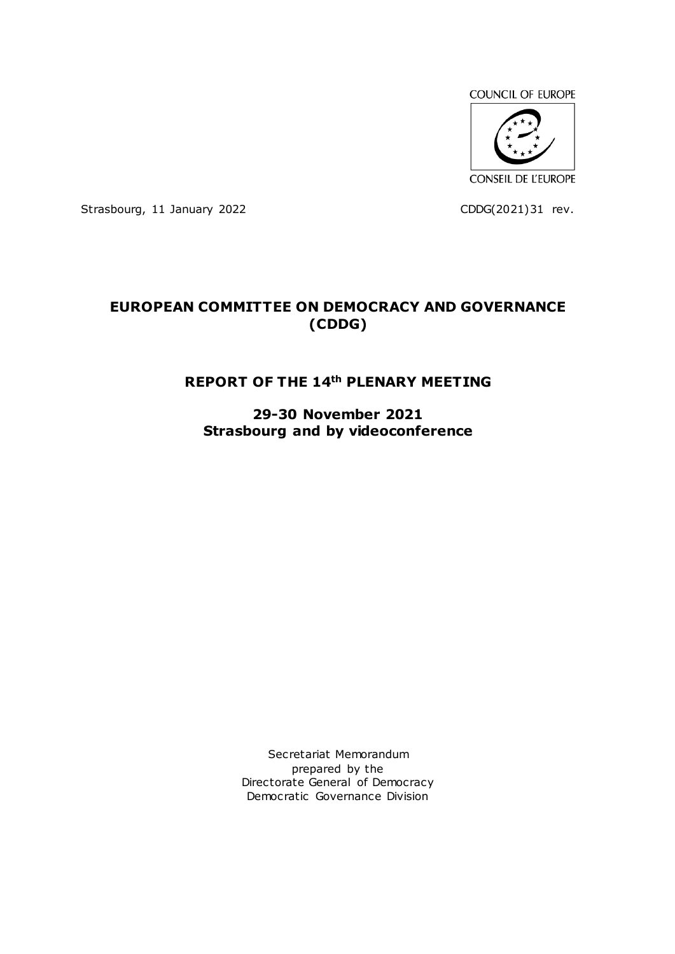COUNCIL OF EUROPE



Strasbourg, 11 January 2022 CDDG(2021)31 rev.

# **EUROPEAN COMMITTEE ON DEMOCRACY AND GOVERNANCE (CDDG)**

# **REPORT OF THE 14th PLENARY MEETING**

**29-30 November 2021 Strasbourg and by videoconference**

> Secretariat Memorandum prepared by the Directorate General of Democracy Democratic Governance Division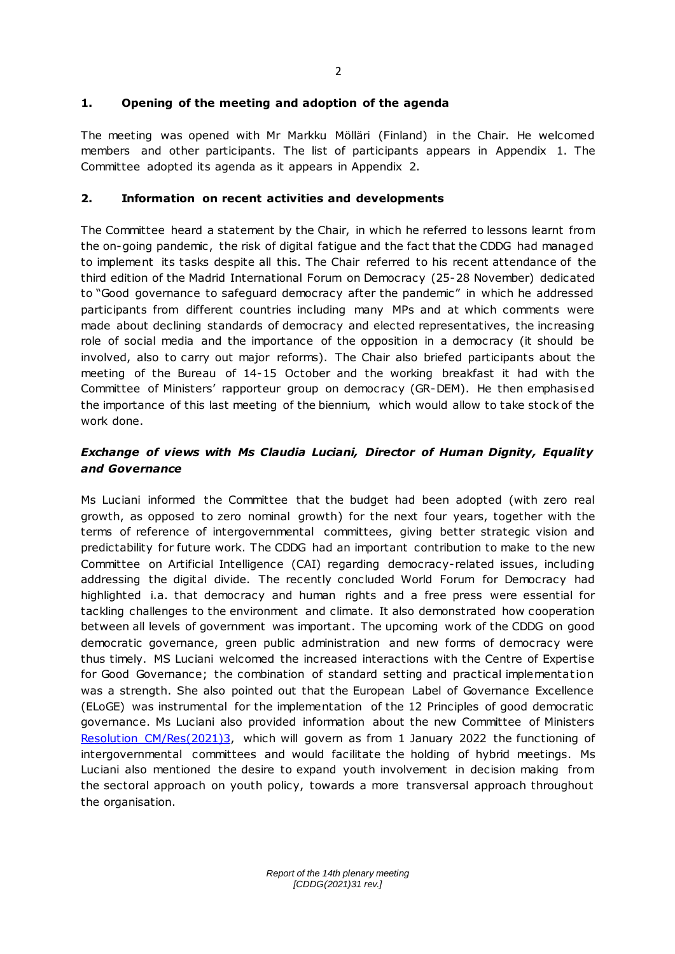### **1. Opening of the meeting and adoption of the agenda**

The meeting was opened with Mr Markku Mölläri (Finland) in the Chair. He welcomed members and other participants. The list of participants appears in Appendix 1. The Committee adopted its agenda as it appears in Appendix 2.

### **2. Information on recent activities and developments**

The Committee heard a statement by the Chair, in which he referred to lessons learnt from the on-going pandemic , the risk of digital fatigue and the fact that the CDDG had managed to implement its tasks despite all this. The Chair referred to his recent attendance of the third edition of the Madrid International Forum on Democracy (25-28 November) dedicated to "Good governance to safeguard democracy after the pandemic" in which he addressed participants from different countries including many MPs and at which comments were made about declining standards of democracy and elected representatives, the increasing role of social media and the importance of the opposition in a democracy (it should be involved, also to carry out major reforms). The Chair also briefed participants about the meeting of the Bureau of 14-15 October and the working breakfast it had with the Committee of Ministers' rapporteur group on democracy (GR-DEM). He then emphasised the importance of this last meeting of the biennium, which would allow to take stock of the work done.

# *Exchange of views with Ms Claudia Luciani, Director of Human Dignity, Equality and Governance*

Ms Luciani informed the Committee that the budget had been adopted (with zero real growth, as opposed to zero nominal growth) for the next four years, together with the terms of reference of intergovernmental committees, giving better strategic vision and predictability for future work. The CDDG had an important contribution to make to the new Committee on Artificial Intelligence (CAI) regarding democracy-related issues, including addressing the digital divide. The recently concluded World Forum for Democracy had highlighted i.a. that democracy and human rights and a free press were essential for tackling challenges to the environment and climate. It also demonstrated how cooperation between all levels of government was important. The upcoming work of the CDDG on good democratic governance, green public administration and new forms of democracy were thus timely. MS Luciani welcomed the increased interactions with the Centre of Expertise for Good Governance; the combination of standard setting and practical implementat ion was a strength. She also pointed out that the European Label of Governance Excellence (ELoGE) was instrumental for the implementation of the 12 Principles of good democratic governance. Ms Luciani also provided information about the new Committee of Ministers [Resolution CM/Res\(2021\)3,](http://search.coe.int/cm/Pages/result_details.aspx?Reference=CM/Res(2021)3) which will govern as from 1 January 2022 the functioning of intergovernmental committees and would facilitate the holding of hybrid meetings. Ms Luciani also mentioned the desire to expand youth involvement in decision making from the sectoral approach on youth policy, towards a more transversal approach throughout the organisation.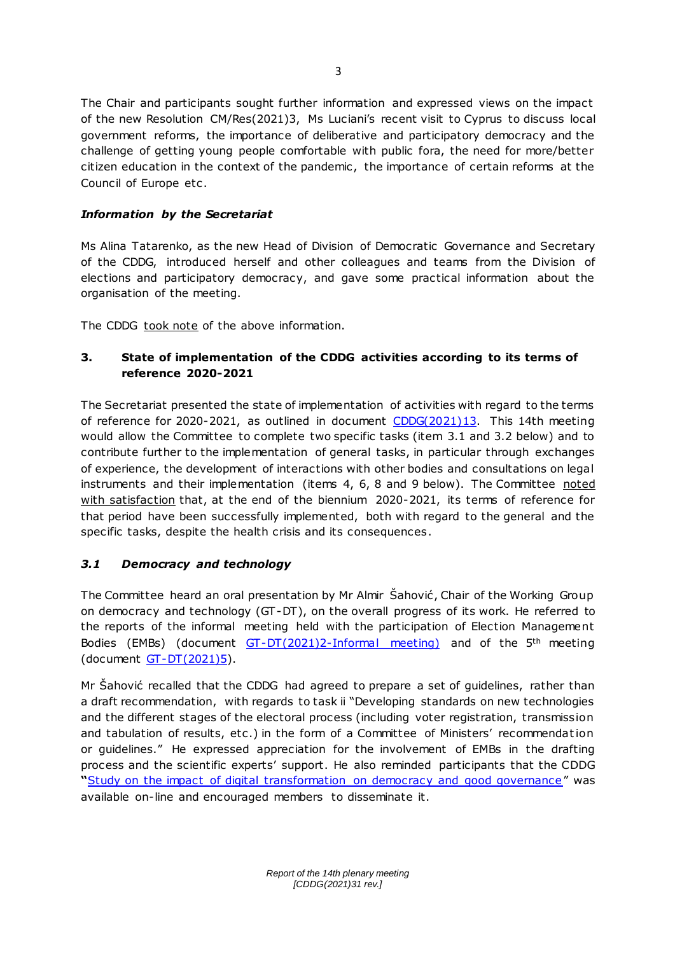The Chair and participants sought further information and expressed views on the impact of the new Resolution CM/Res(2021)3, Ms Luciani's recent visit to Cyprus to discuss local government reforms, the importance of deliberative and participatory democracy and the challenge of getting young people comfortable with public fora, the need for more/better citizen education in the context of the pandemic, the importance of certain reforms at the Council of Europe etc .

## *Information by the Secretariat*

Ms Alina Tatarenko, as the new Head of Division of Democratic Governance and Secretary of the CDDG, introduced herself and other colleagues and teams from the Division of elections and participatory democracy, and gave some practical information about the organisation of the meeting.

The CDDG took note of the above information.

# **3. State of implementation of the CDDG activities according to its terms of reference 2020-2021**

The Secretariat presented the state of implementation of activities with regard to the terms of reference for 2020-2021, as outlined in document [CDDG\(2021\)13.](http://rm.coe.int/cddg-2021-13e-progress-of-work-2766-9398-9893-v-1/1680a4973a) This 14th meeting would allow the Committee to complete two specific tasks (item 3.1 and 3.2 below) and to contribute further to the implementation of general tasks, in particular through exchanges of experience, the development of interactions with other bodies and consultations on legal instruments and their implementation (items 4, 6, 8 and 9 below). The Committee noted with satisfaction that, at the end of the biennium 2020-2021, its terms of reference for that period have been successfully implemented, both with regard to the general and the specific tasks, despite the health crisis and its consequences.

# *3.1 Democracy and technology*

The Committee heard an oral presentation by Mr Almir Šahović, Chair of the Working Group on democracy and technology (GT-DT), on the overall progress of its work. He referred to the reports of the informal meeting held with the participation of Election Management Bodies (EMBs) (document  $GT-DT(2021)2-Informal meeting$ ) and of the  $5<sup>th</sup>$  meeting (document [GT-DT\(2021\)5\)](https://rm.coe.int/gt-dt-2021-5e-meeting-report-2780-2235-1364-v-1/1680a40ea5).

Mr Šahović recalled that the CDDG had agreed to prepare a set of guidelines, rather than a draft recommendation, with regards to task ii "Developing standards on new technologies and the different stages of the electoral process (including voter registration, transmission and tabulation of results, etc.) in the form of a Committee of Ministers' recommendation or guidelines." He expressed appreciation for the involvement of EMBs in the drafting process and the scientific experts' support. He also reminded participants that the CDDG **"**[Study on the impact of digital transformation on democracy and good governance](https://www.coe.int/en/web/good-governance/-/cddg-releases-a-study-on-the-impact-of-digital-transformation-on-democracy-and-good-governance)" was available on-line and encouraged members to disseminate it.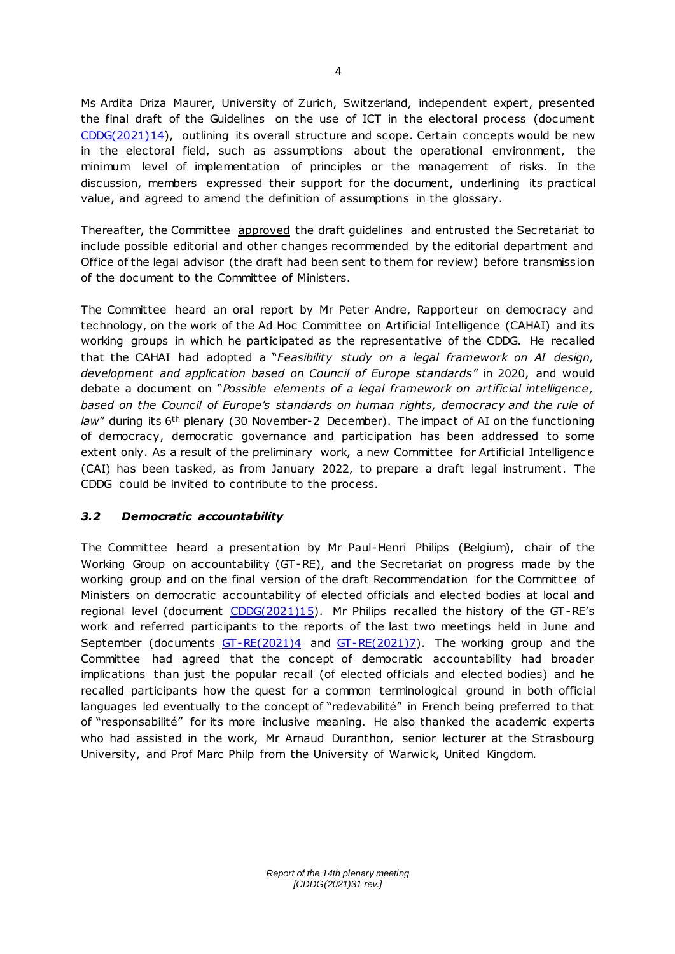Ms Ardita Driza Maurer, University of Zurich, Switzerland, independent expert, presented the final draft of the Guidelines on the use of ICT in the electoral process (document [CDDG\(2021\)14\),](https://rm.coe.int/cddg-2021-14e-guidelines-2788-3895-8852-1/1680a46126) outlining its overall structure and scope. Certain concepts would be new in the electoral field, such as assumptions about the operational environment, the minimum level of implementation of principles or the management of risks. In the discussion, members expressed their support for the document, underlining its practical value, and agreed to amend the definition of assumptions in the glossary.

Thereafter, the Committee approved the draft guidelines and entrusted the Secretariat to include possible editorial and other changes recommended by the editorial department and Office of the legal advisor (the draft had been sent to them for review) before transmission of the document to the Committee of Ministers.

The Committee heard an oral report by Mr Peter Andre, Rapporteur on democracy and technology, on the work of the Ad Hoc Committee on Artificial Intelligence (CAHAI) and its working groups in which he participated as the representative of the CDDG. He recalled that the CAHAI had adopted a "*Feasibility study on a legal framework on AI design, development and application based on Council of Europe standards*" in 2020, and would debate a document on "*Possible elements of a legal framework on artificial intelligence , based on the Council of Europe's standards on human rights, democracy and the rule of law*" during its 6th plenary (30 November-2 December). The impact of AI on the functioning of democracy, democratic governance and participation has been addressed to some extent only. As a result of the preliminary work, a new Committee for Artificial Intelligence (CAI) has been tasked, as from January 2022, to prepare a draft legal instrument. The CDDG could be invited to contribute to the process.

## *3.2 Democratic accountability*

The Committee heard a presentation by Mr Paul-Henri Philips (Belgium), chair of the Working Group on accountability (GT-RE), and the Secretariat on progress made by the working group and on the final version of the draft Recommendation for the Committee of Ministers on democratic accountability of elected officials and elected bodies at local and regional level (document [CDDG\(2021\)15\).](http://rm.coe.int/cddg-2021-15f-projet-recommandation-sur-redevabilite-democratique-2780/1680a46f12) Mr Philips recalled the history of the GT-RE's work and referred participants to the reports of the last two meetings held in June and September (documents  $GT-RE(2021)4$  and  $GT-RE(2021)7$ ). The working group and the Committee had agreed that the concept of democratic accountability had broader implications than just the popular recall (of elected officials and elected bodies) and he recalled participants how the quest for a common terminological ground in both official languages led eventually to the concept of "redevabilité" in French being preferred to that of "responsabilité" for its more inclusive meaning. He also thanked the academic experts who had assisted in the work, Mr Arnaud Duranthon, senior lecturer at the Strasbourg University, and Prof Marc Philp from the University of Warwick, United Kingdom.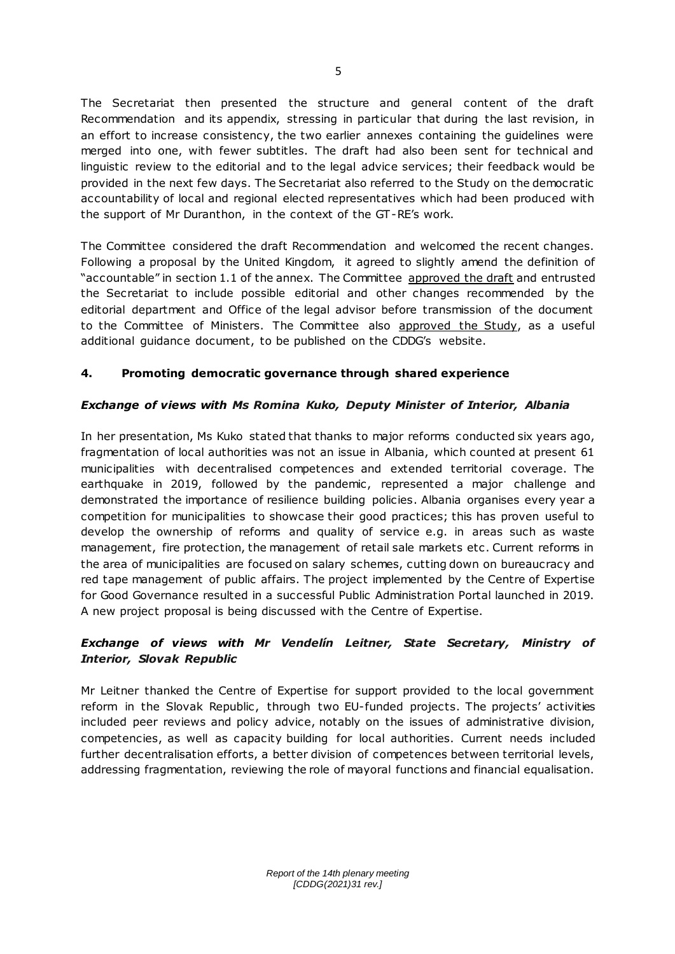The Secretariat then presented the structure and general content of the draft Recommendation and its appendix, stressing in particular that during the last revision, in an effort to increase consistency, the two earlier annexes containing the guidelines were merged into one, with fewer subtitles. The draft had also been sent for technical and linguistic review to the editorial and to the legal advice services; their feedback would be provided in the next few days. The Secretariat also referred to the Study on the democratic accountability of local and regional elected representatives which had been produced with the support of Mr Duranthon, in the context of the GT-RE's work.

The Committee considered the draft Recommendation and welcomed the recent changes. Following a proposal by the United Kingdom, it agreed to slightly amend the definition of "accountable" in section 1.1 of the annex. The Committee approved the draft and entrusted the Secretariat to include possible editorial and other changes recommended by the editorial department and Office of the legal advisor before transmission of the document to the Committee of Ministers. The Committee also approved the Study, as a useful additional guidance document, to be published on the CDDG's website.

## **4. Promoting democratic governance through shared experience**

## *Exchange of views with Ms Romina Kuko, Deputy Minister of Interior, Albania*

In her presentation, Ms Kuko stated that thanks to major reforms conducted six years ago, fragmentation of local authorities was not an issue in Albania, which counted at present 61 municipalities with decentralised competences and extended territorial coverage. The earthquake in 2019, followed by the pandemic, represented a major challenge and demonstrated the importance of resilience building policies. Albania organises every year a competition for municipalities to showcase their good practices; this has proven useful to develop the ownership of reforms and quality of service e.g. in areas such as waste management, fire protection, the management of retail sale markets etc . Current reforms in the area of municipalities are focused on salary schemes, cutting down on bureaucracy and red tape management of public affairs. The project implemented by the Centre of Expertise for Good Governance resulted in a successful Public Administration Portal launched in 2019. A new project proposal is being discussed with the Centre of Expertise.

# *Exchange of views with Mr Vendelín Leitner, State Secretary, Ministry of Interior, Slovak Republic*

Mr Leitner thanked the Centre of Expertise for support provided to the local government reform in the Slovak Republic, through two EU-funded projects. The projects' activities included peer reviews and policy advice, notably on the issues of administrative division, competencies, as well as capacity building for local authorities. Current needs included further decentralisation efforts, a better division of competences between territorial levels, addressing fragmentation, reviewing the role of mayoral functions and financial equalisation.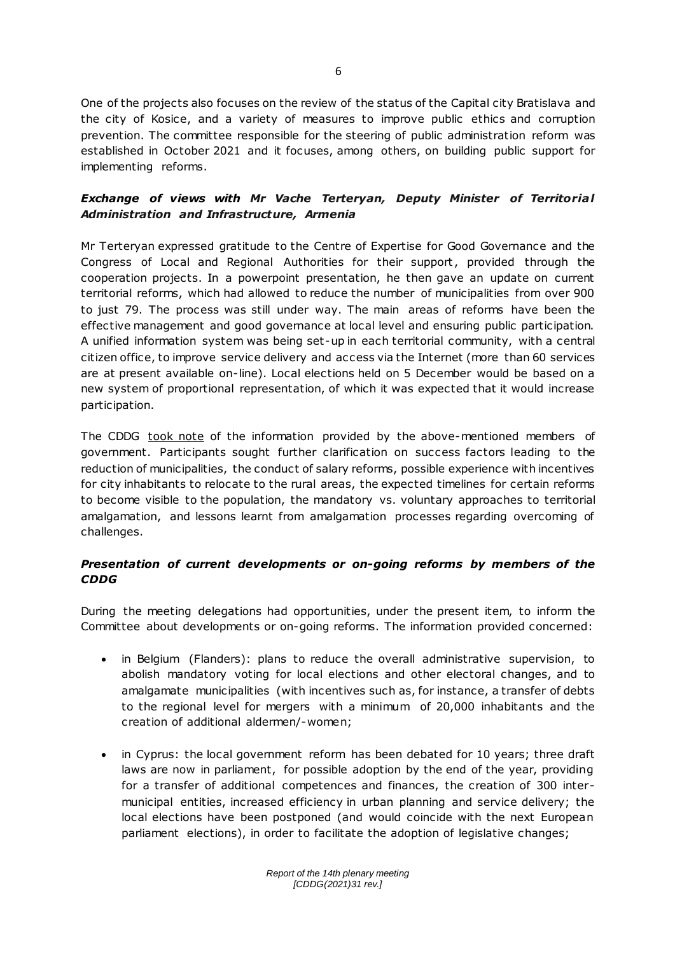One of the projects also focuses on the review of the status of the Capital city Bratislava and the city of Kosice, and a variety of measures to improve public ethics and corruption prevention. The committee responsible for the steering of public administration reform was established in October 2021 and it focuses, among others, on building public support for implementing reforms.

# **Exchange of views with Mr Vache Terteryan, Deputy Minister of Territorial** *Administration and Infrastructure, Armenia*

Mr Terteryan expressed gratitude to the Centre of Expertise for Good Governance and the Congress of Local and Regional Authorities for their support, provided through the cooperation projects. In a powerpoint presentation, he then gave an update on current territorial reforms, which had allowed to reduce the number of municipalities from over 900 to just 79. The process was still under way. The main areas of reforms have been the effective management and good governance at local level and ensuring public participation. A unified information system was being set-up in each territorial community, with a central citizen office, to improve service delivery and access via the Internet (more than 60 services are at present available on-line). Local elections held on 5 December would be based on a new system of proportional representation, of which it was expected that it would increase participation.

The CDDG took note of the information provided by the above-mentioned members of government. Participants sought further clarification on success factors leading to the reduction of municipalities, the conduct of salary reforms, possible experience with incentives for city inhabitants to relocate to the rural areas, the expected timelines for certain reforms to become visible to the population, the mandatory vs. voluntary approaches to territorial amalgamation, and lessons learnt from amalgamation processes regarding overcoming of challenges.

# *Presentation of current developments or on-going reforms by members of the CDDG*

During the meeting delegations had opportunities, under the present item, to inform the Committee about developments or on-going reforms. The information provided concerned:

- in Belgium (Flanders): plans to reduce the overall administrative supervision, to abolish mandatory voting for local elections and other electoral changes, and to amalgamate municipalities (with incentives such as, for instance, a transfer of debts to the regional level for mergers with a minimum of 20,000 inhabitants and the creation of additional aldermen/-women;
- in Cyprus: the local government reform has been debated for 10 years; three draft laws are now in parliament, for possible adoption by the end of the year, providing for a transfer of additional competences and finances, the creation of 300 intermunicipal entities, increased efficiency in urban planning and service delivery; the local elections have been postponed (and would coincide with the next European parliament elections), in order to facilitate the adoption of legislative changes;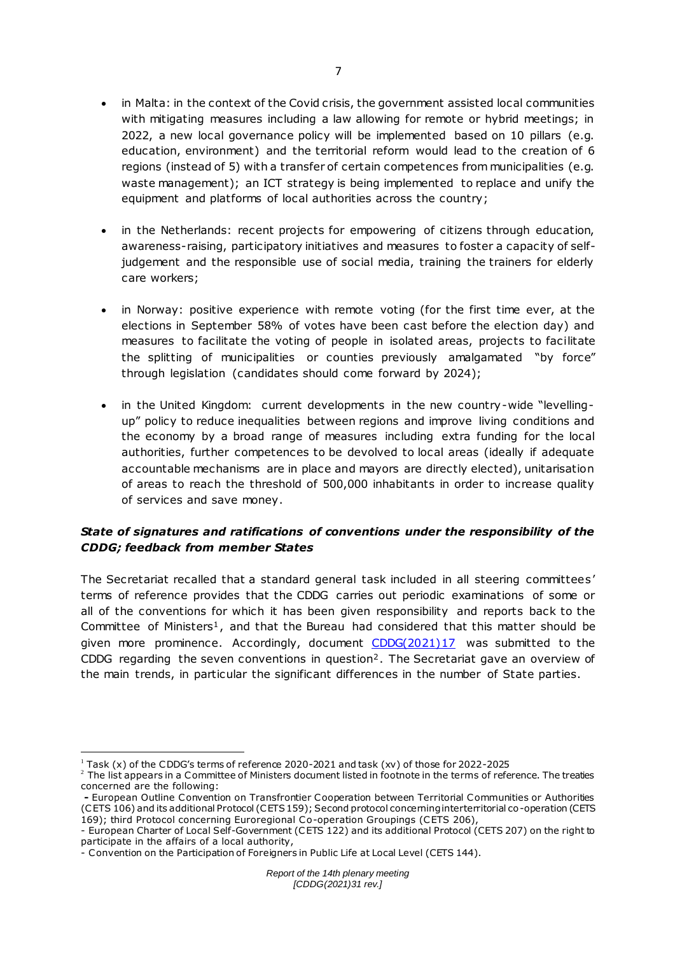- in Malta: in the context of the Covid crisis, the government assisted local communities with mitigating measures including a law allowing for remote or hybrid meetings; in 2022, a new local governance policy will be implemented based on 10 pillars (e.g. education, environment) and the territorial reform would lead to the creation of 6 regions (instead of 5) with a transfer of certain competences from municipalities (e.g. waste management); an ICT strategy is being implemented to replace and unify the equipment and platforms of local authorities across the country;
- in the Netherlands: recent projects for empowering of citizens through education, awareness-raising, participatory initiatives and measures to foster a capacity of selfjudgement and the responsible use of social media, training the trainers for elderly care workers;
- in Norway: positive experience with remote voting (for the first time ever, at the elections in September 58% of votes have been cast before the election day) and measures to facilitate the voting of people in isolated areas, projects to facilitate the splitting of municipalities or counties previously amalgamated "by force" through legislation (candidates should come forward by 2024);
- in the United Kingdom: current developments in the new country-wide "levellingup" policy to reduce inequalities between regions and improve living conditions and the economy by a broad range of measures including extra funding for the local authorities, further competences to be devolved to local areas (ideally if adequate accountable mechanisms are in place and mayors are directly elected), unitarisation of areas to reach the threshold of 500,000 inhabitants in order to increase quality of services and save money.

# *State of signatures and ratifications of conventions under the responsibility of the CDDG; feedback from member States*

The Secretariat recalled that a standard general task included in all steering committees' terms of reference provides that the CDDG carries out periodic examinations of some or all of the conventions for which it has been given responsibility and reports back to the Committee of Ministers<sup>1</sup>, and that the Bureau had considered that this matter should be given more prominence. Accordingly, document [CDDG\(2021\)17](http://rm.coe.int/cddg-2021-17e-status-of-conventions-2752-1915-6997-v-1/1680a463f1) was submitted to the CDDG regarding the seven conventions in question<sup>2</sup>. The Secretariat gave an overview of the main trends, in particular the significant differences in the number of State parties.

 $\overline{a}$  $1$  Task (x) of the CDDG's terms of reference 2020-2021 and task (xv) of those for 2022-2025

<sup>&</sup>lt;sup>2</sup> The list appears in a Committee of Ministers document listed in footnote in the terms of reference. The treaties concerned are the following:

**<sup>-</sup>** European Outline Convention on Transfrontier Cooperation between Territorial Communities or Authorities (CETS 106) and its additional Protocol (CETS 159); Second protocol concerning interterritorial co-operation (CETS 169); third Protocol concerning Euroregional Co-operation Groupings (CETS 206),

<sup>-</sup> European Charter of Local Self-Government (CETS 122) and its additional Protocol (CETS 207) on the right to participate in the affairs of a local authority,

<sup>-</sup> Convention on the Participation of Foreigners in Public Life at Local Level (CETS 144).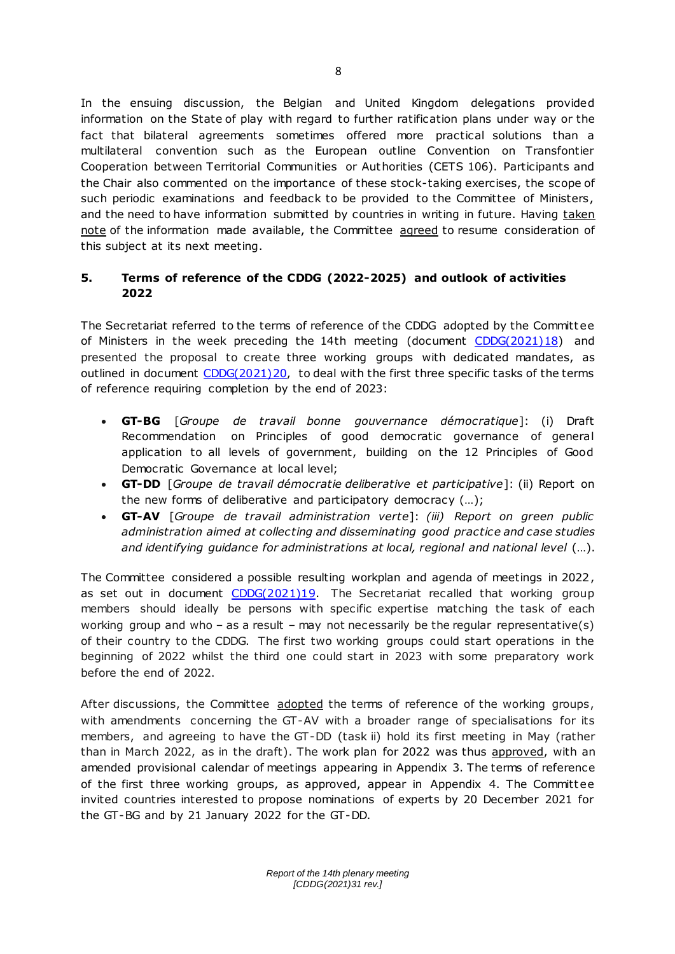In the ensuing discussion, the Belgian and United Kingdom delegations provided information on the State of play with regard to further ratification plans under way or the fact that bilateral agreements sometimes offered more practical solutions than a multilateral convention such as the European outline Convention on Transfontier Cooperation between Territorial Communities or Authorities (CETS 106). Participants and the Chair also commented on the importance of these stock-taking exercises, the scope of such periodic examinations and feedback to be provided to the Committee of Ministers, and the need to have information submitted by countries in writing in future. Having taken note of the information made available, the Committee agreed to resume consideration of this subject at its next meeting.

# **5. Terms of reference of the CDDG (2022-2025) and outlook of activities 2022**

The Secretariat referred to the terms of reference of the CDDG adopted by the Committ ee of Ministers in the week preceding the 14th meeting (document  $CDDG(2021)18$ ) and presented the proposal to create three working groups with dedicated mandates, as outlined in document [CDDG\(2021\)20,](https://rm.coe.int/cddg-2021-20e-terms-of-reference-working-groups-2022-2023-2765-4941-26/1680a48e47) to deal with the first three specific tasks of the terms of reference requiring completion by the end of 2023:

- **GT-BG** [*Groupe de travail bonne gouvernance démocratique*]: (i) Draft Recommendation on Principles of good democratic governance of general application to all levels of government, building on the 12 Principles of Good Democratic Governance at local level;
- **GT-DD** [*Groupe de travail démocratie deliberative et participative*]: (ii) Report on the new forms of deliberative and participatory democracy (…);
- **GT-AV** [*Groupe de travail administration verte*]: *(iii) Report on green public administration aimed at collecting and disseminating good practice and case studies and identifying guidance for administrations at local, regional and national level* (…).

The Committee considered a possible resulting workplan and agenda of meetings in 2022, as set out in document  $CDDG(2021)19$ . The Secretariat recalled that working group members should ideally be persons with specific expertise matching the task of each working group and who – as a result – may not necessarily be the regular representative(s) of their country to the CDDG. The first two working groups could start operations in the beginning of 2022 whilst the third one could start in 2023 with some preparatory work before the end of 2022.

After discussions, the Committee adopted the terms of reference of the working groups, with amendments concerning the GT-AV with a broader range of specialisations for its members, and agreeing to have the GT-DD (task ii) hold its first meeting in May (rather than in March 2022, as in the draft). The work plan for 2022 was thus approved, with an amended provisional calendar of meetings appearing in Appendix 3. The terms of reference of the first three working groups, as approved, appear in Appendix 4. The Committ ee invited countries interested to propose nominations of experts by 20 December 2021 for the GT-BG and by 21 January 2022 for the GT-DD.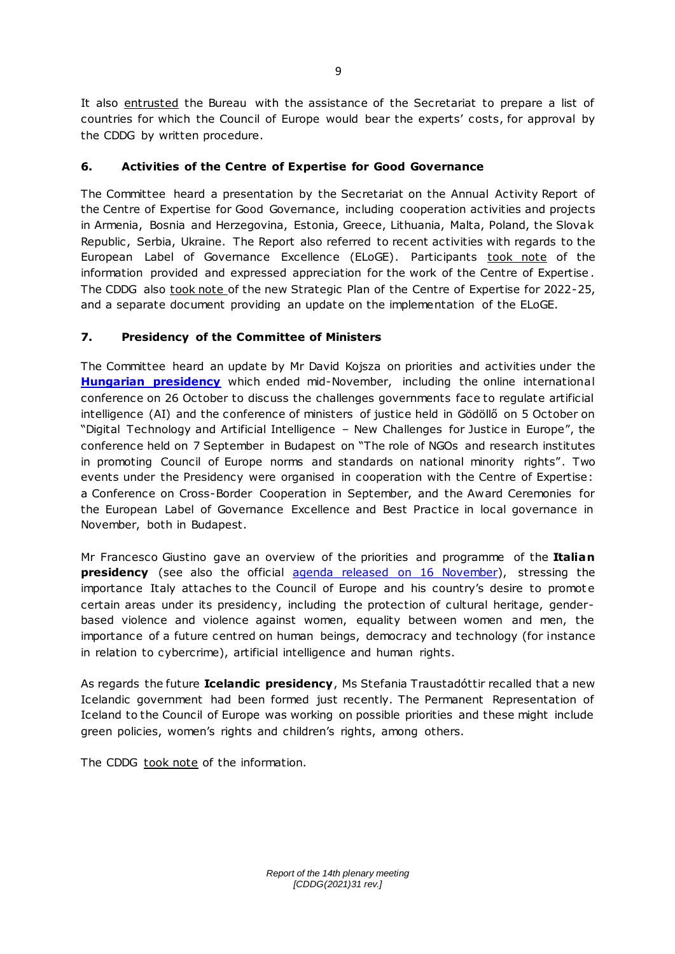It also entrusted the Bureau with the assistance of the Secretariat to prepare a list of countries for which the Council of Europe would bear the experts' costs, for approval by the CDDG by written procedure.

# **6. Activities of the Centre of Expertise for Good Governance**

The Committee heard a presentation by the Secretariat on the Annual Activity Report of the Centre of Expertise for Good Governance, including cooperation activities and projects in Armenia, Bosnia and Herzegovina, Estonia, Greece, Lithuania, Malta, Poland, the Slovak Republic, Serbia, Ukraine. The Report also referred to recent activities with regards to the European Label of Governance Excellence (ELoGE). Participants took note of the information provided and expressed appreciation for the work of the Centre of Expertise . The CDDG also took note of the new Strategic Plan of the Centre of Expertise for 2022-25, and a separate document providing an update on the implementation of the ELoGE.

# **7. Presidency of the Committee of Ministers**

The Committee heard an update by Mr David Kojsza on priorities and activities under the **[Hungarian presidency](https://www.coe.int/en/web/presidency/hungary)** which ended mid-November, including the online international conference on 26 October to discuss the challenges governments face to regulate artificial intelligence (AI) and the conference of ministers of justice held in Gödöllő on 5 October on "Digital Technology and Artificial Intelligence – New Challenges for Justice in Europe", the conference held on 7 September in Budapest on "The role of NGOs and research institutes in promoting Council of Europe norms and standards on national minority rights". Two events under the Presidency were organised in cooperation with the Centre of Expertise: a Conference on Cross-Border Cooperation in September, and the Award Ceremonies for the European Label of Governance Excellence and Best Practice in local governance in November, both in Budapest.

Mr Francesco Giustino gave an overview of the priorities and programme of the **Italian presidency** (see also the official [agenda released on 16 November\)](https://rm.coe.int/priorities-of-the-italian-presidency-of-the-committee-of-ministers-of-/1680a48d39&format=native), stressing the importance Italy attaches to the Council of Europe and his country's desire to promote certain areas under its presidency, including the protection of cultural heritage, genderbased violence and violence against women, equality between women and men, the importance of a future centred on human beings, democracy and technology (for instance in relation to cybercrime), artificial intelligence and human rights.

As regards the future **Icelandic presidency**, Ms Stefania Traustadóttir recalled that a new Icelandic government had been formed just recently. The Permanent Representation of Iceland to the Council of Europe was working on possible priorities and these might include green policies, women's rights and children's rights, among others.

The CDDG took note of the information.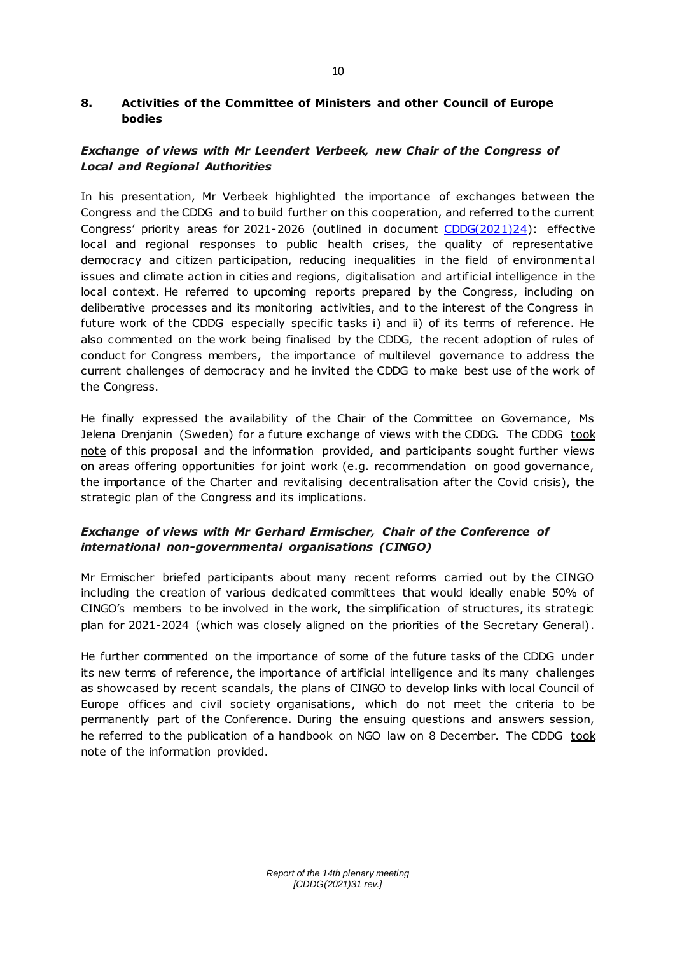### **8. Activities of the Committee of Ministers and other Council of Europe bodies**

# *Exchange of views with Mr Leendert Verbeek, new Chair of the Congress of Local and Regional Authorities*

In his presentation, Mr Verbeek highlighted the importance of exchanges between the Congress and the CDDG and to build further on this cooperation, and referred to the current Congress' priority areas for 2021-2026 (outlined in document [CDDG\(2021\)24\)](http://rm.coe.int/cddg-2021-24e-congress-priorities-2021-2026-2783-8172-7749-v-1/1680a4641f): effective local and regional responses to public health crises, the quality of representative democracy and citizen participation, reducing inequalities in the field of environment al issues and climate action in cities and regions, digitalisation and artificial intelligence in the local context. He referred to upcoming reports prepared by the Congress, including on deliberative processes and its monitoring activities, and to the interest of the Congress in future work of the CDDG especially specific tasks i) and ii) of its terms of reference. He also commented on the work being finalised by the CDDG, the recent adoption of rules of conduct for Congress members, the importance of multilevel governance to address the current challenges of democracy and he invited the CDDG to make best use of the work of the Congress.

He finally expressed the availability of the Chair of the Committee on Governance, Ms Jelena Drenjanin (Sweden) for a future exchange of views with the CDDG. The CDDG took note of this proposal and the information provided, and participants sought further views on areas offering opportunities for joint work (e.g. recommendation on good governance, the importance of the Charter and revitalising decentralisation after the Covid crisis), the strategic plan of the Congress and its implications.

# *Exchange of views with Mr Gerhard Ermischer, Chair of the Conference of international non-governmental organisations (CINGO)*

Mr Ermischer briefed participants about many recent reforms carried out by the CINGO including the creation of various dedicated committees that would ideally enable 50% of CINGO's members to be involved in the work, the simplification of structures, its strategic plan for 2021-2024 (which was closely aligned on the priorities of the Secretary General).

He further commented on the importance of some of the future tasks of the CDDG under its new terms of reference, the importance of artificial intelligence and its many challenges as showcased by recent scandals, the plans of CINGO to develop links with local Council of Europe offices and civil society organisations, which do not meet the criteria to be permanently part of the Conference. During the ensuing questions and answers session, he referred to the publication of a handbook on NGO law on 8 December. The CDDG took note of the information provided.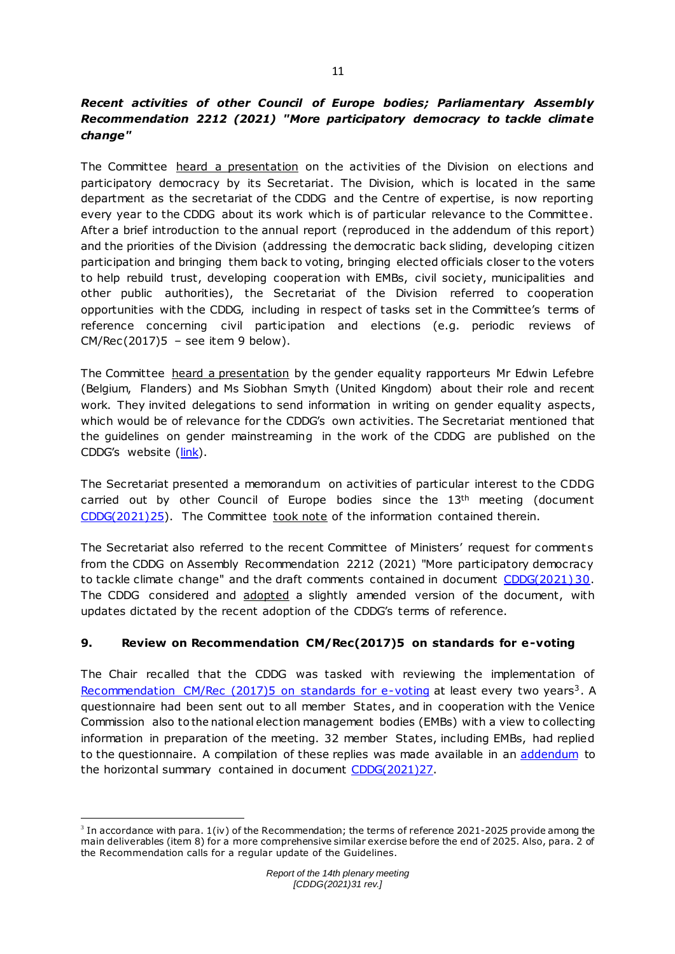# *Recent activities of other Council of Europe bodies; Parliamentary Assembly Recommendation 2212 (2021) "More participatory democracy to tackle climate change"*

The Committee heard a presentation on the activities of the Division on elections and participatory democracy by its Secretariat. The Division, which is located in the same department as the secretariat of the CDDG and the Centre of expertise, is now reporting every year to the CDDG about its work which is of particular relevance to the Committee . After a brief introduction to the annual report (reproduced in the addendum of this report) and the priorities of the Division (addressing the democratic back sliding, developing citizen participation and bringing them back to voting, bringing elected officials closer to the voters to help rebuild trust, developing cooperation with EMBs, civil society, municipalities and other public authorities), the Secretariat of the Division referred to cooperation opportunities with the CDDG, including in respect of tasks set in the Committee's terms of reference concerning civil participation and elections (e.g. periodic reviews of  $CM/Rec(2017)5 - see item 9 below).$ 

The Committee heard a presentation by the gender equality rapporteurs Mr Edwin Lefebre (Belgium, Flanders) and Ms Siobhan Smyth (United Kingdom) about their role and recent work. They invited delegations to send information in writing on gender equality aspects, which would be of relevance for the CDDG's own activities. The Secretariat mentioned that the guidelines on gender mainstreaming in the work of the CDDG are published on the CDDG's website [\(link\)](https://rm.coe.int/cddg-2021-11e-rev-gender-mainstreaming-adopted/1680a49371).

The Secretariat presented a memorandum on activities of particular interest to the CDDG carried out by other Council of Europe bodies since the 13<sup>th</sup> meeting (document [CDDG\(2021\)25\).](http://rm.coe.int/cddg-2021-25e-activities-of-other-coe-bodies-april-oct2021-2762-9690-2/1680a48d35) The Committee took note of the information contained therein.

The Secretariat also referred to the recent Committee of Ministers' request for comments from the CDDG on Assembly Recommendation 2212 (2021) "More participatory democracy to tackle climate change" and the draft comments contained in document [CDDG\(2021\) 30.](https://rm.coe.int/cddg-2021-30e-comments-and-elements-for-response-to-pace-rec-2212-2754/1680a48cfb) The CDDG considered and adopted a slightly amended version of the document, with updates dictated by the recent adoption of the CDDG's terms of reference.

## **9. Review on Recommendation CM/Rec(2017)5 on standards for e-voting**

The Chair recalled that the CDDG was tasked with reviewing the implementation of [Recommendation CM/Rec \(2017\)5 on standards for e-voting](https://www.coe.int/en/web/portal/news-2017/-/asset_publisher/StEVosr24HJ2/content/council-of-europe-adopts-new-recommendation-on-standards-for-e-voting) at least every two years<sup>3</sup>. A questionnaire had been sent out to all member States, and in cooperation with the Venice Commission also to the national election management bodies (EMBs) with a view to collecting information in preparation of the meeting. 32 member States, including EMBs, had replied to the questionnaire. A compilation of these replies was made available in an [addendum](http://rm.coe.int/cddg-2021-27e-compendium-replies-to-questionnaire-e-voting-2785-6293-9/1680a494ed) to the horizontal summary contained in document [CDDG\(2021\)27.](http://rm.coe.int/cddg-2021-27e-review-on-rec-on-standards-for-e-voting-2774-5309-1333-1/1680a494ec)

 $\overline{a}$  $3$  In accordance with para. 1(iv) of the Recommendation; the terms of reference 2021-2025 provide among the main deliverables (item 8) for a more comprehensive similar exercise before the end of 2025. Also, para. 2 of the Recommendation calls for a regular update of the Guidelines.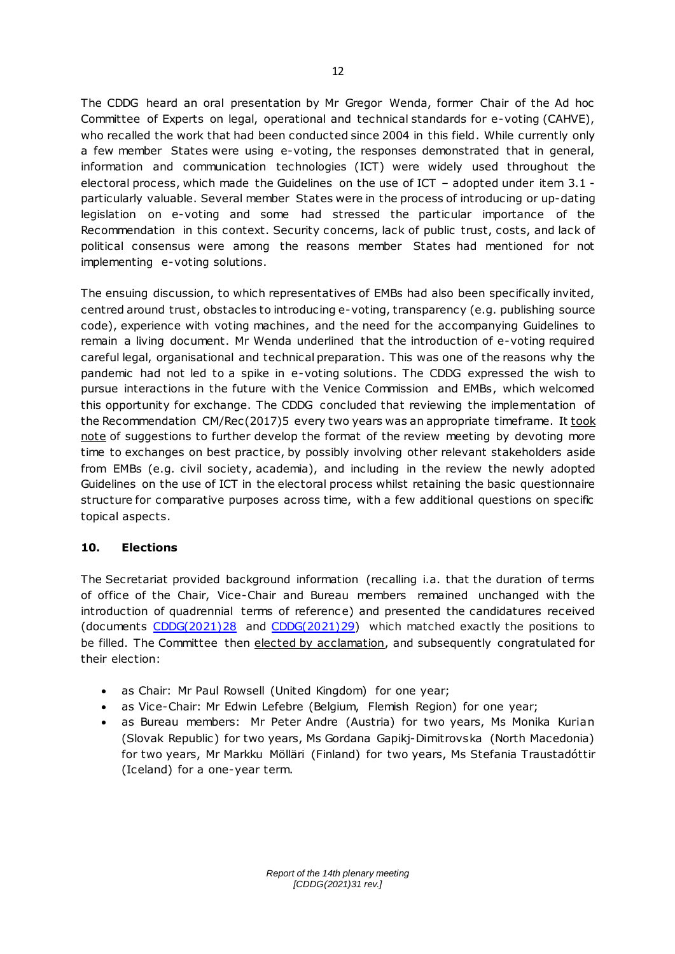The CDDG heard an oral presentation by Mr Gregor Wenda, former Chair of the Ad hoc Committee of Experts on legal, operational and technical standards for e-voting (CAHVE), who recalled the work that had been conducted since 2004 in this field. While currently only a few member States were using e-voting, the responses demonstrated that in general, information and communication technologies (ICT) were widely used throughout the electoral process, which made the Guidelines on the use of ICT – adopted under item 3.1 particularly valuable. Several member States were in the process of introducing or up-dating legislation on e-voting and some had stressed the particular importance of the Recommendation in this context. Security concerns, lack of public trust, costs, and lack of political consensus were among the reasons member States had mentioned for not implementing e-voting solutions.

The ensuing discussion, to which representatives of EMBs had also been specifically invited, centred around trust, obstacles to introducing e-voting, transparency (e.g. publishing source code), experience with voting machines, and the need for the accompanying Guidelines to remain a living document. Mr Wenda underlined that the introduction of e-voting required careful legal, organisational and technical preparation. This was one of the reasons why the pandemic had not led to a spike in e-voting solutions. The CDDG expressed the wish to pursue interactions in the future with the Venice Commission and EMBs, which welcomed this opportunity for exchange. The CDDG concluded that reviewing the implementation of the Recommendation CM/Rec(2017)5 every two years was an appropriate timeframe. It took note of suggestions to further develop the format of the review meeting by devoting more time to exchanges on best practice, by possibly involving other relevant stakeholders aside from EMBs (e.g. civil society, academia), and including in the review the newly adopted Guidelines on the use of ICT in the electoral process whilst retaining the basic questionnaire structure for comparative purposes across time, with a few additional questions on specific topical aspects.

## **10. Elections**

The Secretariat provided background information (recalling i.a. that the duration of terms of office of the Chair, Vice-Chair and Bureau members remained unchanged with the introduction of quadrennial terms of referenc e) and presented the candidatures received (documents [CDDG\(2021\)28](http://rm.coe.int/cddg-2021-28e-elections-2772-0116-3269-v-1/1680a46f5c) and [CDDG\(2021\)29\)](https://rm.coe.int/cddg-2021-29e-elections-candidates-2769-3823-3349-v-1/1680a49f45) which matched exactly the positions to be filled. The Committee then elected by acclamation, and subsequently congratulated for their election:

- as Chair: Mr Paul Rowsell (United Kingdom) for one year;
- as Vice-Chair: Mr Edwin Lefebre (Belgium, Flemish Region) for one year;
- as Bureau members: Mr Peter Andre (Austria) for two years, Ms Monika Kurian (Slovak Republic) for two years, Ms Gordana Gapikj-Dimitrovska (North Macedonia) for two years, Mr Markku Mölläri (Finland) for two years, Ms Stefania Traustadóttir (Iceland) for a one-year term.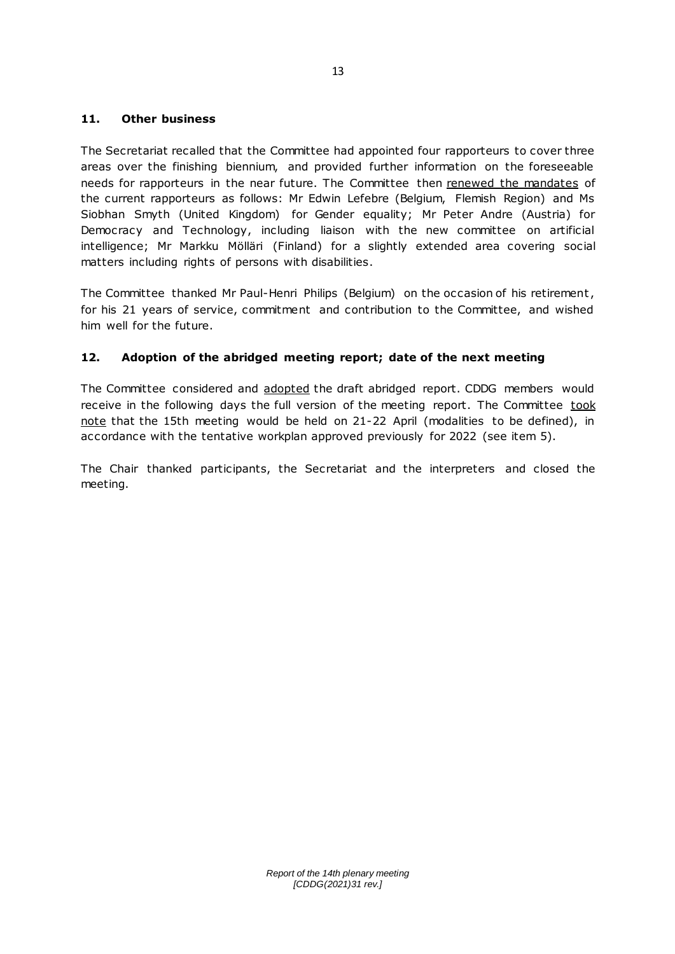### **11. Other business**

The Secretariat recalled that the Committee had appointed four rapporteurs to cover three areas over the finishing biennium, and provided further information on the foreseeable needs for rapporteurs in the near future. The Committee then renewed the mandates of the current rapporteurs as follows: Mr Edwin Lefebre (Belgium, Flemish Region) and Ms Siobhan Smyth (United Kingdom) for Gender equality; Mr Peter Andre (Austria) for Democracy and Technology, including liaison with the new committee on artificial intelligence; Mr Markku Mölläri (Finland) for a slightly extended area covering social matters including rights of persons with disabilities.

The Committee thanked Mr Paul-Henri Philips (Belgium) on the occasion of his retirement , for his 21 years of service, commitment and contribution to the Committee, and wished him well for the future.

## **12. Adoption of the abridged meeting report; date of the next meeting**

The Committee considered and adopted the draft abridged report. CDDG members would receive in the following days the full version of the meeting report. The Committee took note that the 15th meeting would be held on 21-22 April (modalities to be defined), in accordance with the tentative workplan approved previously for 2022 (see item 5).

The Chair thanked participants, the Secretariat and the interpreters and closed the meeting.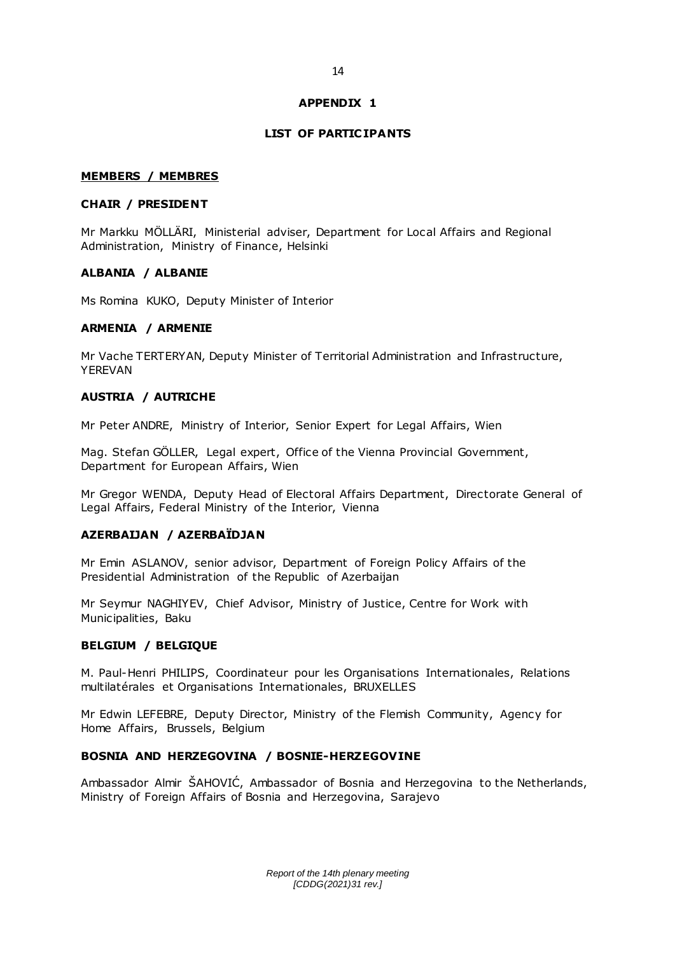### **APPENDIX 1**

#### **LIST OF PARTIC IPANTS**

#### **MEMBERS / MEMBRES**

#### **CHAIR / PRESIDENT**

Mr Markku MÖLLÄRI, Ministerial adviser, Department for Local Affairs and Regional Administration, Ministry of Finance, Helsinki

#### **ALBANIA / ALBANIE**

Ms Romina KUKO, Deputy Minister of Interior

#### **ARMENIA / ARMENIE**

Mr Vache TERTERYAN, Deputy Minister of Territorial Administration and Infrastructure, YEREVAN

### **AUSTRIA / AUTRICHE**

Mr Peter ANDRE, Ministry of Interior, Senior Expert for Legal Affairs, Wien

Mag. Stefan GÖLLER, Legal expert, Office of the Vienna Provincial Government, Department for European Affairs, Wien

Mr Gregor WENDA, Deputy Head of Electoral Affairs Department, Directorate General of Legal Affairs, Federal Ministry of the Interior, Vienna

#### **AZERBAIJAN / AZERBAÏDJAN**

Mr Emin ASLANOV, senior advisor, Department of Foreign Policy Affairs of the Presidential Administration of the Republic of Azerbaijan

Mr Seymur NAGHIYEV, Chief Advisor, Ministry of Justice, Centre for Work with Municipalities, Baku

#### **BELGIUM / BELGIQUE**

M. Paul-Henri PHILIPS, Coordinateur pour les Organisations Internationales, Relations multilatérales et Organisations Internationales, BRUXELLES

Mr Edwin LEFEBRE, Deputy Director, Ministry of the Flemish Community, Agency for Home Affairs, Brussels, Belgium

### **BOSNIA AND HERZEGOVINA / BOSNIE-HERZEGOVINE**

Ambassador Almir ŠAHOVIĆ, Ambassador of Bosnia and Herzegovina to the Netherlands, Ministry of Foreign Affairs of Bosnia and Herzegovina, Sarajevo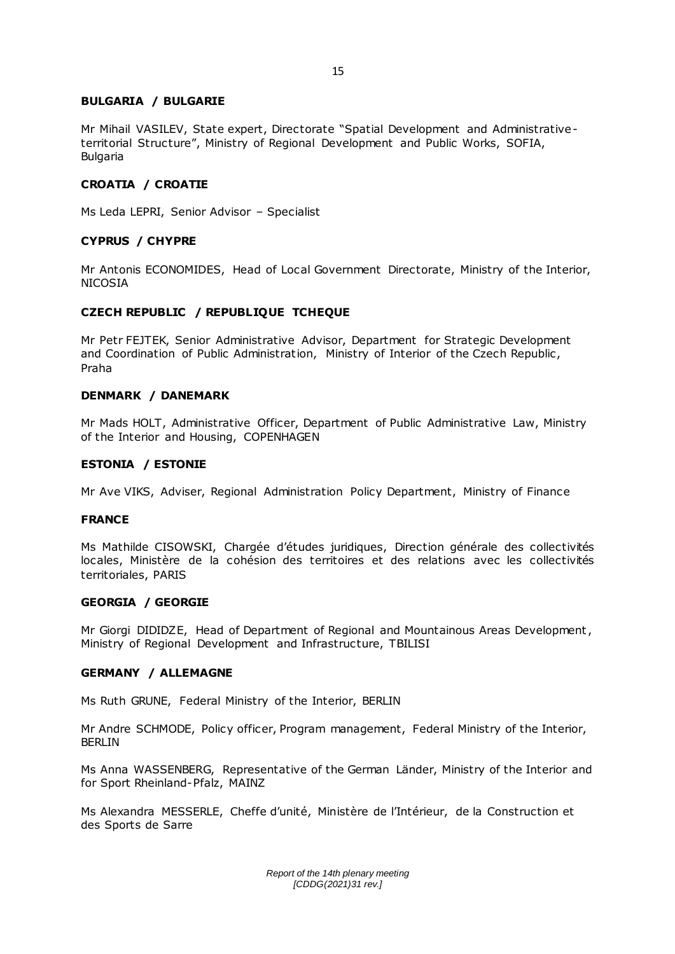### **BULGARIA / BULGARIE**

Mr Mihail VASILEV, State expert, Directorate "Spatial Development and Administrativeterritorial Structure", Ministry of Regional Development and Public Works, SOFIA, Bulgaria

#### **CROATIA / CROATIE**

Ms Leda LEPRI, Senior Advisor – Specialist

#### **CYPRUS / CHYPRE**

Mr Antonis ECONOMIDES, Head of Local Government Directorate, Ministry of the Interior, NICOSIA

#### **CZECH REPUBLIC / REPUBLIQUE TCHEQUE**

Mr Petr FEJTEK, Senior Administrative Advisor, Department for Strategic Development and Coordination of Public Administration, Ministry of Interior of the Czech Republic, Praha

#### **DENMARK / DANEMARK**

Mr Mads HOLT, Administrative Officer, Department of Public Administrative Law, Ministry of the Interior and Housing, COPENHAGEN

#### **ESTONIA / ESTONIE**

Mr Ave VIKS, Adviser, Regional Administration Policy Department, Ministry of Finance

#### **FRANCE**

Ms Mathilde CISOWSKI, Chargée d'études juridiques, Direction générale des collectivités locales, Ministère de la cohésion des territoires et des relations avec les collectivités territoriales, PARIS

### **GEORGIA / GEORGIE**

Mr Giorgi DIDIDZE, Head of Department of Regional and Mountainous Areas Development, Ministry of Regional Development and Infrastructure, TBILISI

#### **GERMANY / ALLEMAGNE**

Ms Ruth GRUNE, Federal Ministry of the Interior, BERLIN

Mr Andre SCHMODE, Policy officer, Program management, Federal Ministry of the Interior, BERLIN

Ms Anna WASSENBERG, Representative of the German Länder, Ministry of the Interior and for Sport Rheinland-Pfalz, MAINZ

Ms Alexandra MESSERLE, Cheffe d'unité, Ministère de l'Intérieur, de la Construction et des Sports de Sarre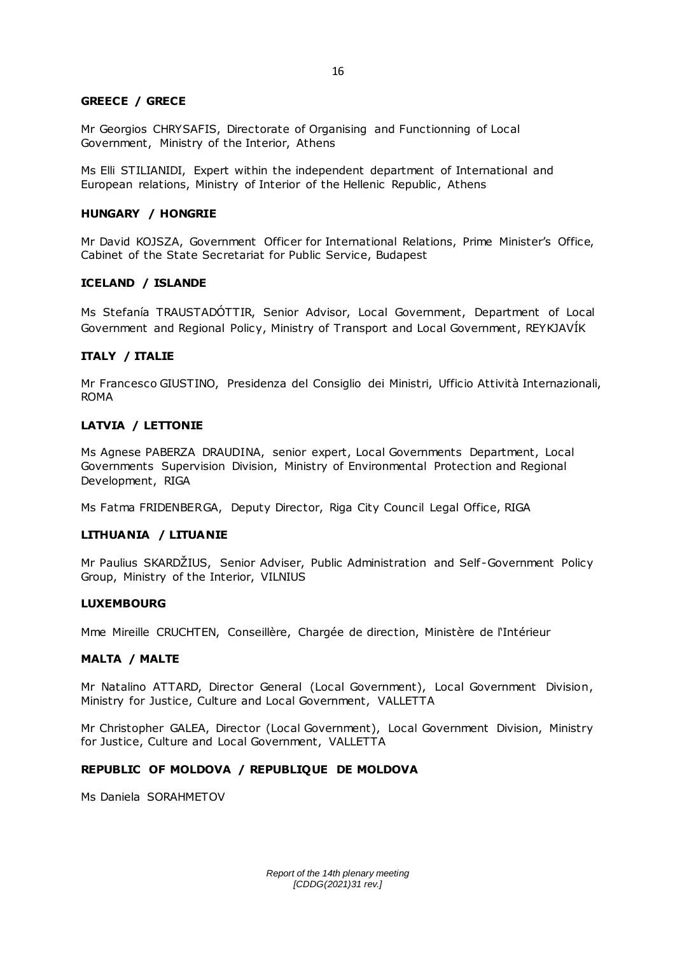### **GREECE / GRECE**

Mr Georgios CHRYSAFIS, Directorate of Organising and Functionning of Local Government, Ministry of the Interior, Athens

Ms Elli STILIANIDI, Expert within the independent department of International and European relations, Ministry of Interior of the Hellenic Republic , Athens

#### **HUNGARY / HONGRIE**

Mr David KOJSZA, Government Officer for International Relations, Prime Minister's Office, Cabinet of the State Secretariat for Public Service, Budapest

#### **ICELAND / ISLANDE**

Ms Stefanía TRAUSTADÓTTIR, Senior Advisor, Local Government, Department of Local Government and Regional Policy, Ministry of Transport and Local Government, REYKJAVÍK

#### **ITALY / ITALIE**

Mr Francesco GIUSTINO, Presidenza del Consiglio dei Ministri, Ufficio Attività Internazionali, ROMA

#### **LATVIA / LETTONIE**

Ms Agnese PABERZA DRAUDINA, senior expert, Local Governments Department, Local Governments Supervision Division, Ministry of Environmental Protection and Regional Development, RIGA

Ms Fatma FRIDENBERGA, Deputy Director, Riga City Council Legal Office, RIGA

#### **LITHUANIA / LITUANIE**

Mr Paulius SKARDŽIUS, Senior Adviser, Public Administration and Self -Government Policy Group, Ministry of the Interior, VILNIUS

#### **LUXEMBOURG**

Mme Mireille CRUCHTEN, Conseillère, Chargée de direction, Ministère de l'Intérieur

#### **MALTA / MALTE**

Mr Natalino ATTARD, Director General (Local Government), Local Government Division, Ministry for Justice, Culture and Local Government, VALLETTA

Mr Christopher GALEA, Director (Local Government), Local Government Division, Ministry for Justice, Culture and Local Government, VALLETTA

### **REPUBLIC OF MOLDOVA / REPUBLIQUE DE MOLDOVA**

Ms Daniela SORAHMETOV

16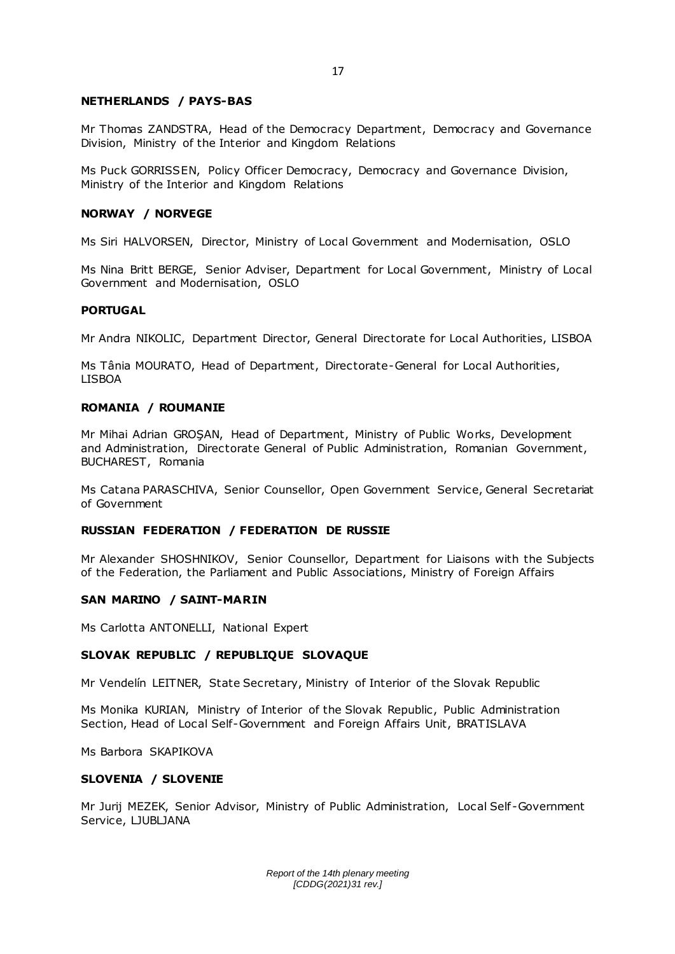#### **NETHERLANDS / PAYS-BAS**

Mr Thomas ZANDSTRA, Head of the Democracy Department, Democracy and Governance Division, Ministry of the Interior and Kingdom Relations

Ms Puck GORRISSEN, Policy Officer Democracy, Democracy and Governance Division, Ministry of the Interior and Kingdom Relations

#### **NORWAY / NORVEGE**

Ms Siri HALVORSEN, Director, Ministry of Local Government and Modernisation, OSLO

Ms Nina Britt BERGE, Senior Adviser, Department for Local Government, Ministry of Local Government and Modernisation, OSLO

#### **PORTUGAL**

Mr Andra NIKOLIC, Department Director, General Directorate for Local Authorities, LISBOA

Ms Tânia MOURATO, Head of Department, Directorate-General for Local Authorities, LISBOA

#### **ROMANIA / ROUMANIE**

Mr Mihai Adrian GROŞAN, Head of Department, Ministry of Public Works, Development and Administration, Directorate General of Public Administration, Romanian Government, BUCHAREST, Romania

Ms Catana PARASCHIVA, Senior Counsellor, Open Government Service, General Secretariat of Government

### **RUSSIAN FEDERATION / FEDERATION DE RUSSIE**

Mr Alexander SHOSHNIKOV, Senior Counsellor, Department for Liaisons with the Subjects of the Federation, the Parliament and Public Associations, Ministry of Foreign Affairs

#### **SAN MARINO / SAINT-MARIN**

Ms Carlotta ANTONELLI, National Expert

### **SLOVAK REPUBLIC / REPUBLIQUE SLOVAQUE**

Mr Vendelín LEITNER, State Secretary, Ministry of Interior of the Slovak Republic

Ms Monika KURIAN, Ministry of Interior of the Slovak Republic , Public Administration Section, Head of Local Self-Government and Foreign Affairs Unit, BRATISLAVA

Ms Barbora SKAPIKOVA

#### **SLOVENIA / SLOVENIE**

Mr Jurij MEZEK, Senior Advisor, Ministry of Public Administration, Local Self -Government Service, LJUBLJANA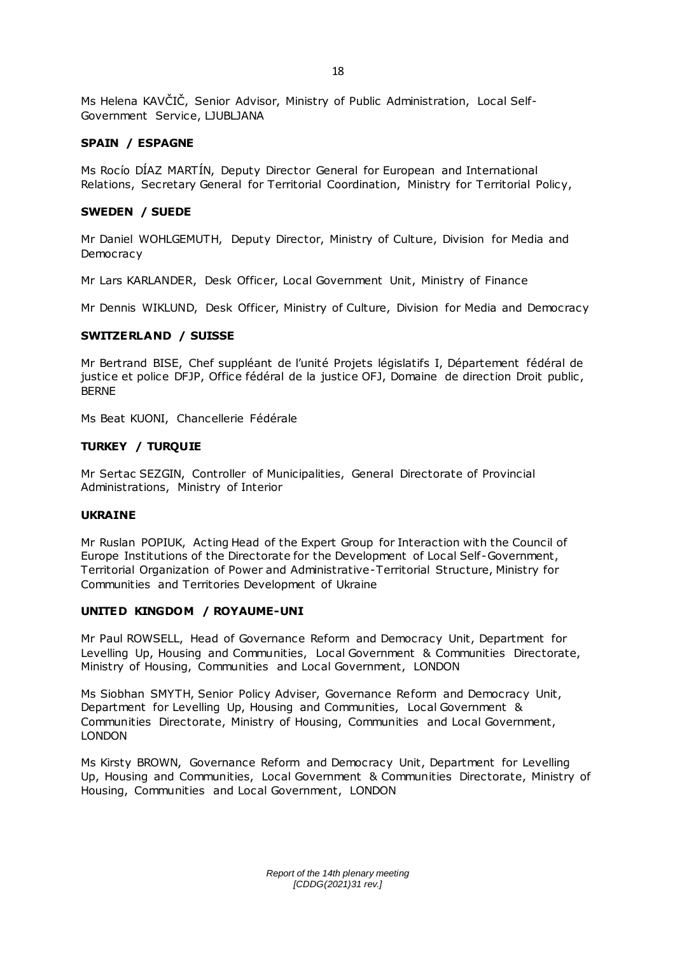Ms Helena KAVČIČ, Senior Advisor, Ministry of Public Administration, Local Self-Government Service, LJUBLJANA

### **SPAIN / ESPAGNE**

Ms Rocío DÍAZ MARTÍN, Deputy Director General for European and International Relations, Secretary General for Territorial Coordination, Ministry for Territorial Policy,

### **SWEDEN / SUEDE**

Mr Daniel WOHLGEMUTH, Deputy Director, Ministry of Culture, Division for Media and **Democracy** 

Mr Lars KARLANDER, Desk Officer, Local Government Unit, Ministry of Finance

Mr Dennis WIKLUND, Desk Officer, Ministry of Culture, Division for Media and Democracy

### **SWITZERLAND / SUISSE**

Mr Bertrand BISE, Chef suppléant de l'unité Projets législatifs I, Département fédéral de justice et police DFJP, Office fédéral de la justice OFJ, Domaine de direction Droit public, BERNE

Ms Beat KUONI, Chancellerie Fédérale

### **TURKEY / TURQUIE**

Mr Sertac SEZGIN, Controller of Municipalities, General Directorate of Provincial Administrations, Ministry of Interior

### **UKRAINE**

Mr Ruslan POPIUK, Acting Head of the Expert Group for Interaction with the Council of Europe Institutions of the Directorate for the Development of Local Self-Government, Territorial Organization of Power and Administrative-Territorial Structure, Ministry for Communities and Territories Development of Ukraine

### **UNITED KINGDOM / ROYAUME-UNI**

Mr Paul ROWSELL, Head of Governance Reform and Democracy Unit, Department for Levelling Up, Housing and Communities, Local Government & Communities Directorate, Ministry of Housing, Communities and Local Government, LONDON

Ms Siobhan SMYTH, Senior Policy Adviser, Governance Reform and Democracy Unit, Department for Levelling Up, Housing and Communities, Local Government & Communities Directorate, Ministry of Housing, Communities and Local Government, LONDON

Ms Kirsty BROWN, Governance Reform and Democracy Unit, Department for Levelling Up, Housing and Communities, Local Government & Communities Directorate, Ministry of Housing, Communities and Local Government, LONDON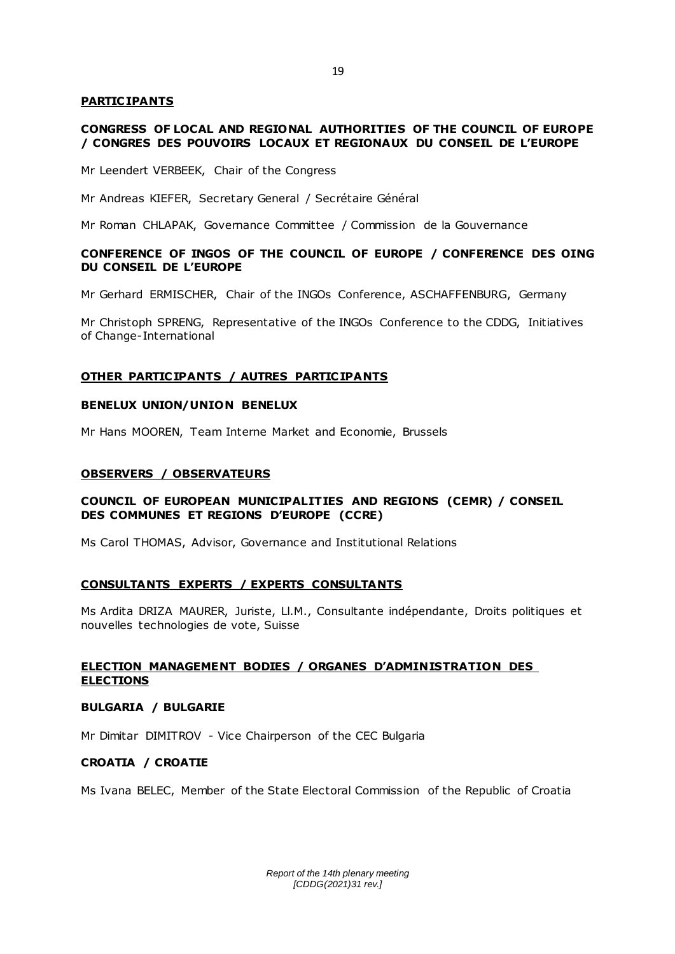#### **PARTIC IPANTS**

#### **CONGRESS OF LOCAL AND REGIONAL AUTHORITIES OF THE COUNCIL OF EUROPE / CONGRES DES POUVOIRS LOCAUX ET REGIONAUX DU CONSEIL DE L'EUROPE**

Mr Leendert VERBEEK, Chair of the Congress

Mr Andreas KIEFER, Secretary General / Secrétaire Général

Mr Roman CHLAPAK, Governance Committee / Commission de la Gouvernance

### **CONFERENCE OF INGOS OF THE COUNCIL OF EUROPE / CONFERENCE DES OING DU CONSEIL DE L'EUROPE**

Mr Gerhard ERMISCHER, Chair of the INGOs Conference, ASCHAFFENBURG, Germany

Mr Christoph SPRENG, Representative of the INGOs Conference to the CDDG, Initiatives of Change-International

#### **OTHER PARTIC IPANTS / AUTRES PARTIC IPANTS**

### **BENELUX UNION/UNION BENELUX**

Mr Hans MOOREN, Team Interne Market and Economie, Brussels

#### **OBSERVERS / OBSERVATEURS**

### **COUNCIL OF EUROPEAN MUNICIPALITIES AND REGIONS (CEMR) / CONSEIL DES COMMUNES ET REGIONS D'EUROPE (CCRE)**

Ms Carol THOMAS, Advisor, Governance and Institutional Relations

#### **CONSULTANTS EXPERTS / EXPERTS CONSULTANTS**

Ms Ardita DRIZA MAURER, Juriste, Ll.M., Consultante indépendante, Droits politiques et nouvelles technologies de vote, Suisse

### **ELECTION MANAGEMENT BODIES / ORGANES D'ADMINISTRATION DES ELECTIONS**

#### **BULGARIA / BULGARIE**

Mr Dimitar DIMITROV - Vice Chairperson of the CEC Bulgaria

#### **CROATIA / CROATIE**

Ms Ivana BELEC, Member of the State Electoral Commission of the Republic of Croatia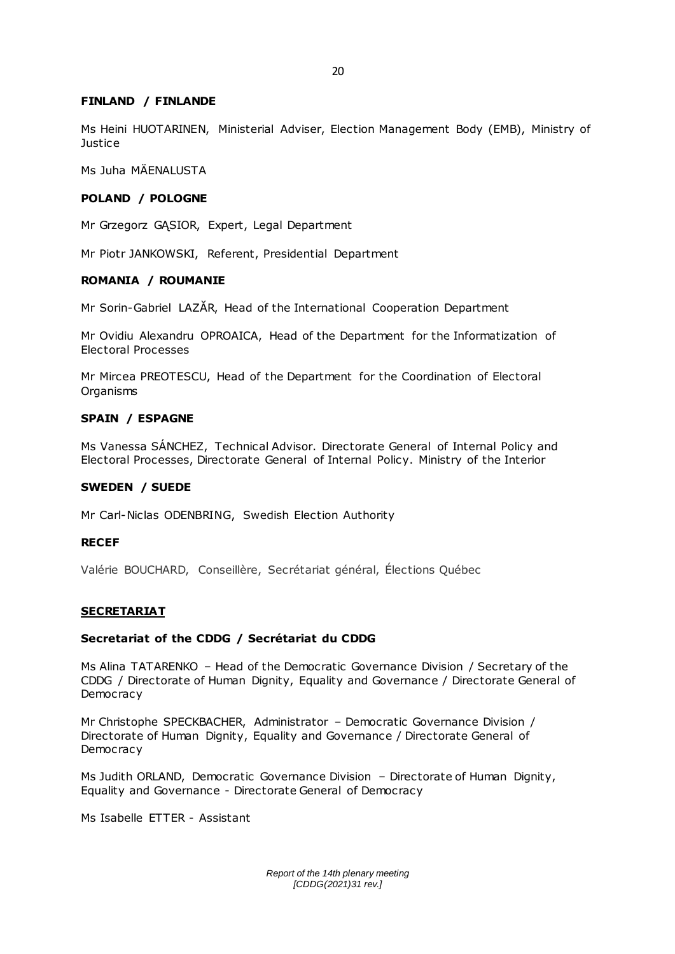#### **FINLAND / FINLANDE**

Ms Heini HUOTARINEN, Ministerial Adviser, Election Management Body (EMB), Ministry of **Justice** 

Ms Juha MÄENALUSTA

#### **POLAND / POLOGNE**

Mr Grzegorz GĄSIOR, Expert, Legal Department

Mr Piotr JANKOWSKI, Referent, Presidential Department

#### **ROMANIA / ROUMANIE**

Mr Sorin-Gabriel LAZĂR, Head of the International Cooperation Department

Mr Ovidiu Alexandru OPROAICA, Head of the Department for the Informatization of Electoral Processes

Mr Mircea PREOTESCU, Head of the Department for the Coordination of Electoral Organisms

### **SPAIN / ESPAGNE**

Ms Vanessa SÁNCHEZ, Technical Advisor. Directorate General of Internal Policy and Electoral Processes, Directorate General of Internal Policy. Ministry of the Interior

#### **SWEDEN / SUEDE**

Mr Carl-Niclas ODENBRING, Swedish Election Authority

### **RECEF**

Valérie BOUCHARD, Conseillère, Secrétariat général, Élections Québec

#### **SECRETARIAT**

#### **Secretariat of the CDDG / Secrétariat du CDDG**

Ms Alina TATARENKO – Head of the Democratic Governance Division / Secretary of the CDDG / Directorate of Human Dignity, Equality and Governance / Directorate General of **Democracy** 

Mr Christophe SPECKBACHER, Administrator – Democratic Governance Division / Directorate of Human Dignity, Equality and Governance / Directorate General of **Democracy** 

Ms Judith ORLAND, Democratic Governance Division – Directorate of Human Dignity, Equality and Governance - Directorate General of Democracy

Ms Isabelle ETTER - Assistant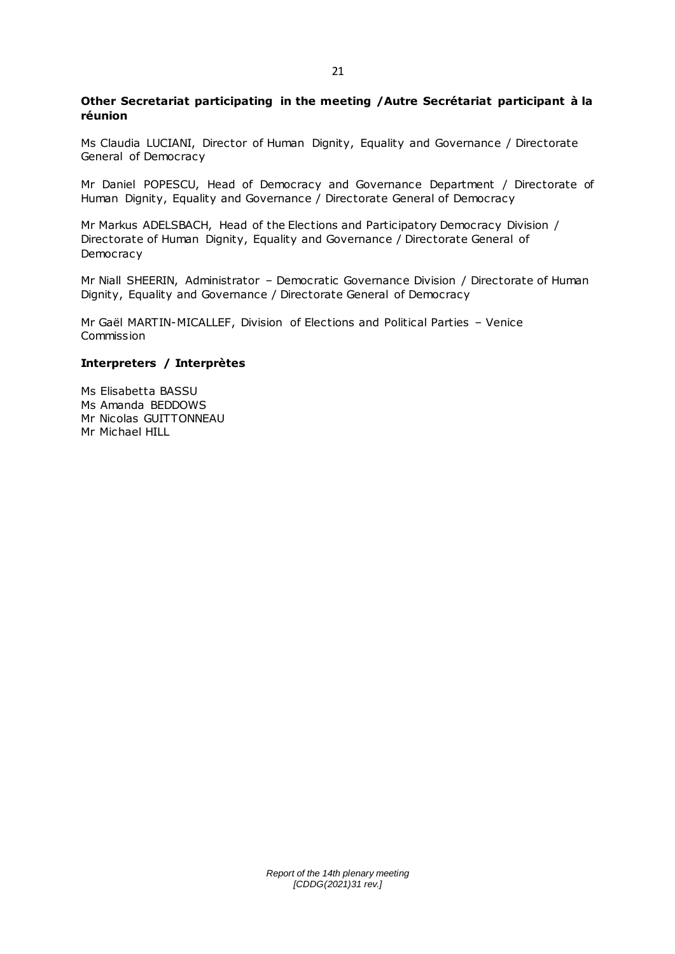### **Other Secretariat participating in the meeting /Autre Secrétariat participant à la réunion**

Ms Claudia LUCIANI, Director of Human Dignity, Equality and Governance / Directorate General of Democracy

Mr Daniel POPESCU, Head of Democracy and Governance Department / Directorate of Human Dignity, Equality and Governance / Directorate General of Democracy

Mr Markus ADELSBACH, Head of the Elections and Participatory Democracy Division / Directorate of Human Dignity, Equality and Governance / Directorate General of Democracy

Mr Niall SHEERIN, Administrator – Democratic Governance Division / Directorate of Human Dignity, Equality and Governance / Directorate General of Democracy

Mr Gaël MARTIN-MICALLEF, Division of Elections and Political Parties – Venice **Commission** 

#### **Interpreters / Interprètes**

Ms Elisabetta BASSU Ms Amanda BEDDOWS Mr Nicolas GUITTONNEAU Mr Michael HILL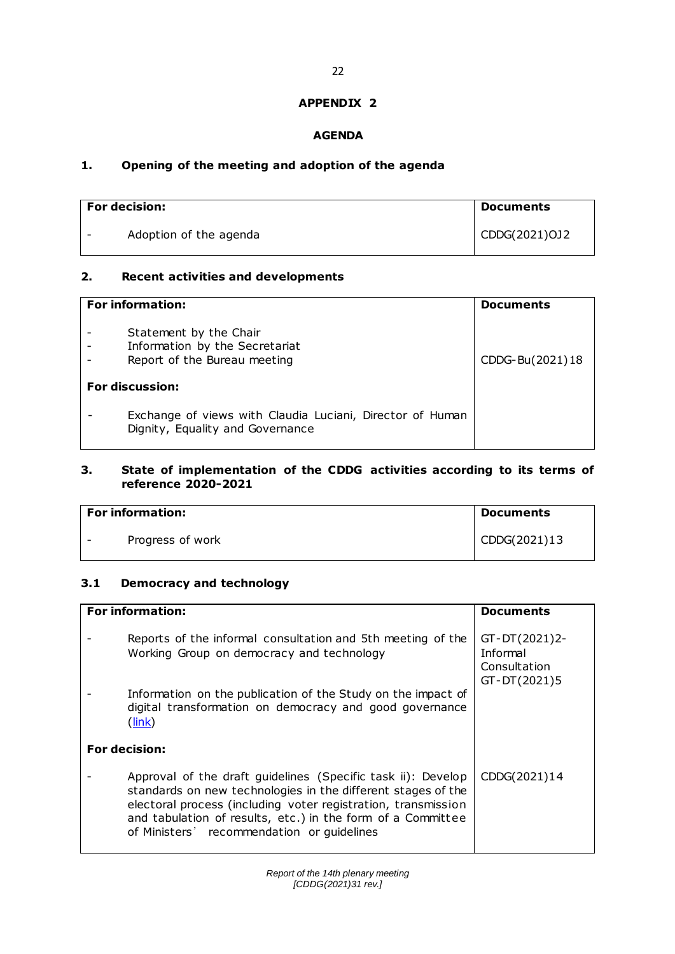### **APPENDIX 2**

## **AGENDA**

# **1. Opening of the meeting and adoption of the agenda**

| <b>For decision:</b>   | Documents     |
|------------------------|---------------|
| Adoption of the agenda | CDDG(2021)OJ2 |

## **2. Recent activities and developments**

| <b>For information:</b>                                                                       | <b>Documents</b> |
|-----------------------------------------------------------------------------------------------|------------------|
| Statement by the Chair<br>Information by the Secretariat<br>Report of the Bureau meeting      | CDDG-Bu(2021)18  |
| <b>For discussion:</b>                                                                        |                  |
| Exchange of views with Claudia Luciani, Director of Human<br>Dignity, Equality and Governance |                  |

# **3. State of implementation of the CDDG activities according to its terms of reference 2020-2021**

| <b>For information:</b> | <b>Documents</b> |
|-------------------------|------------------|
| Progress of work        | CDDG(2021)13     |

# **3.1 Democracy and technology**

| <b>For information:</b>                                                                                                                                                                                                                                                                                    | <b>Documents</b>                                          |
|------------------------------------------------------------------------------------------------------------------------------------------------------------------------------------------------------------------------------------------------------------------------------------------------------------|-----------------------------------------------------------|
| Reports of the informal consultation and 5th meeting of the<br>Working Group on democracy and technology                                                                                                                                                                                                   | GT-DT(2021)2-<br>Informal<br>Consultation<br>GT-DT(2021)5 |
| Information on the publication of the Study on the impact of<br>digital transformation on democracy and good governance<br>$(\mathsf{link})$                                                                                                                                                               |                                                           |
| <b>For decision:</b>                                                                                                                                                                                                                                                                                       |                                                           |
| Approval of the draft guidelines (Specific task ii): Develop<br>standards on new technologies in the different stages of the<br>electoral process (including voter registration, transmission<br>and tabulation of results, etc.) in the form of a Committee<br>of Ministers' recommendation or guidelines | CDDG(2021)14                                              |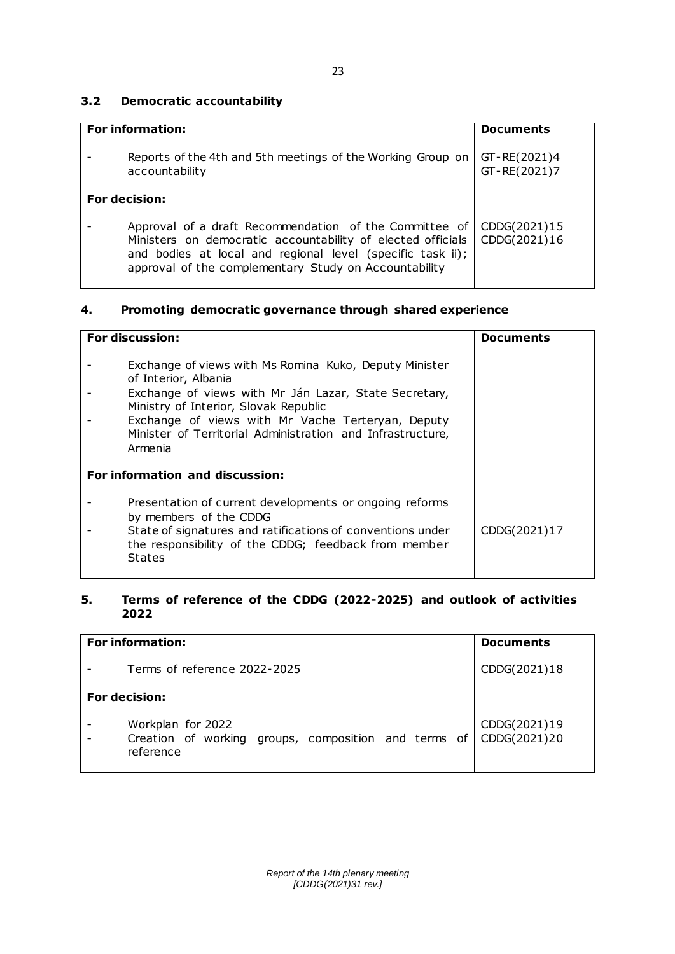# **3.2 Democratic accountability**

| <b>For information:</b>                                                                                                                                                                                                                      | <b>Documents</b>             |
|----------------------------------------------------------------------------------------------------------------------------------------------------------------------------------------------------------------------------------------------|------------------------------|
| Reports of the 4th and 5th meetings of the Working Group on<br>accountability                                                                                                                                                                | GT-RE(2021)4<br>GT-RE(2021)7 |
| <b>For decision:</b>                                                                                                                                                                                                                         |                              |
| Approval of a draft Recommendation of the Committee of<br>Ministers on democratic accountability of elected officials<br>and bodies at local and regional level (specific task ii);<br>approval of the complementary Study on Accountability | CDDG(2021)15<br>CDDG(2021)16 |

# **4. Promoting democratic governance through shared experience**

| <b>For discussion:</b>                                                                                                                                                                                                                                                                                         | <b>Documents</b> |
|----------------------------------------------------------------------------------------------------------------------------------------------------------------------------------------------------------------------------------------------------------------------------------------------------------------|------------------|
| Exchange of views with Ms Romina Kuko, Deputy Minister<br>of Interior, Albania<br>Exchange of views with Mr Ján Lazar, State Secretary,<br>Ministry of Interior, Slovak Republic<br>Exchange of views with Mr Vache Terteryan, Deputy<br>Minister of Territorial Administration and Infrastructure,<br>Armenia |                  |
| For information and discussion:                                                                                                                                                                                                                                                                                |                  |
| Presentation of current developments or ongoing reforms<br>by members of the CDDG<br>State of signatures and ratifications of conventions under<br>the responsibility of the CDDG; feedback from member<br><b>States</b>                                                                                       | CDDG(2021)17     |

# **5. Terms of reference of the CDDG (2022-2025) and outlook of activities 2022**

| <b>For information:</b>                                                                | <b>Documents</b>             |
|----------------------------------------------------------------------------------------|------------------------------|
| Terms of reference 2022-2025                                                           | CDDG(2021)18                 |
| For decision:                                                                          |                              |
| Workplan for 2022<br>Creation of working groups, composition and terms of<br>reference | CDDG(2021)19<br>CDDG(2021)20 |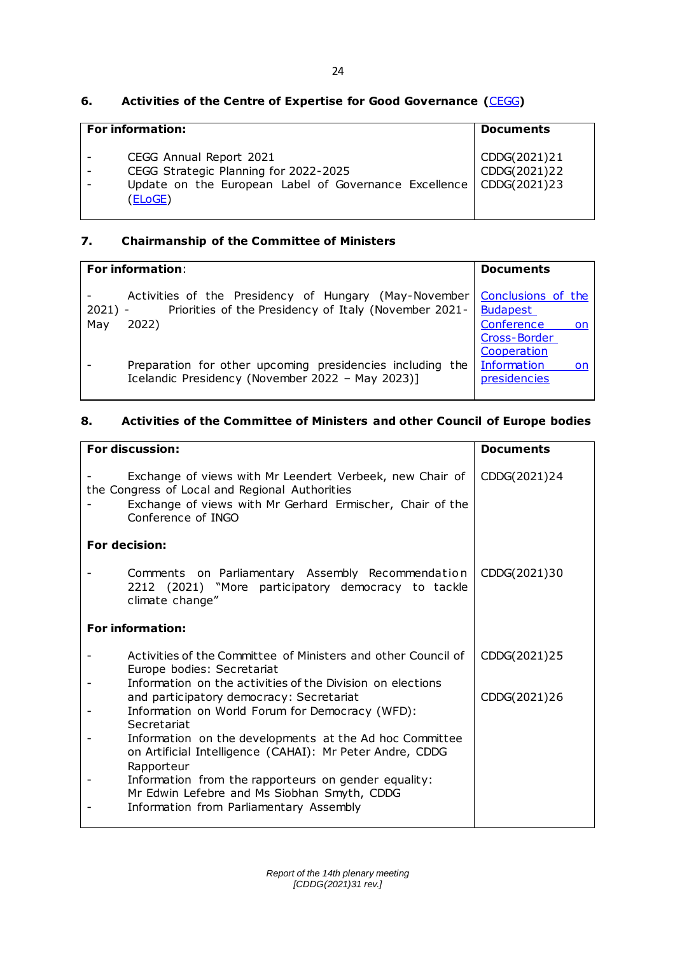# **6. Activities of the Centre of Expertise for Good Governance (**[CEGG](https://www.coe.int/en/web/good-governance/centre-of-expertise)**)**

| <b>For information:</b>                                                                                                                             | <b>Documents</b>             |
|-----------------------------------------------------------------------------------------------------------------------------------------------------|------------------------------|
| CEGG Annual Report 2021<br>CEGG Strategic Planning for 2022-2025<br>Update on the European Label of Governance Excellence   CDDG(2021)23<br>(ELoGE) | CDDG(2021)21<br>CDDG(2021)22 |

# **7. Chairmanship of the Committee of Ministers**

| <b>For information:</b>                                                                                                                      | <b>Documents</b>                                                        |
|----------------------------------------------------------------------------------------------------------------------------------------------|-------------------------------------------------------------------------|
| Activities of the Presidency of Hungary (May-November<br>Priorities of the Presidency of Italy (November 2021-<br>$2021$ ) -<br>May<br>2022) | Conclusions of the<br><b>Budapest</b><br>Conference<br>on on            |
| Preparation for other upcoming presidencies including the<br>Icelandic Presidency (November 2022 - May 2023)]                                | Cross-Border<br>Cooperation<br><b>Information</b><br>on<br>presidencies |

# **8. Activities of the Committee of Ministers and other Council of Europe bodies**

| For discussion:                                                                                                                                                                               | <b>Documents</b> |
|-----------------------------------------------------------------------------------------------------------------------------------------------------------------------------------------------|------------------|
| Exchange of views with Mr Leendert Verbeek, new Chair of<br>the Congress of Local and Regional Authorities<br>Exchange of views with Mr Gerhard Ermischer, Chair of the<br>Conference of INGO | CDDG(2021)24     |
| For decision:                                                                                                                                                                                 |                  |
| Comments on Parliamentary Assembly Recommendation<br>2212 (2021) "More participatory democracy to tackle<br>climate change"                                                                   | CDDG(2021)30     |
| <b>For information:</b>                                                                                                                                                                       |                  |
| Activities of the Committee of Ministers and other Council of<br>Europe bodies: Secretariat                                                                                                   | CDDG(2021)25     |
| Information on the activities of the Division on elections<br>and participatory democracy: Secretariat<br>Information on World Forum for Democracy (WFD):<br>Secretariat                      | CDDG(2021)26     |
| Information on the developments at the Ad hoc Committee<br>on Artificial Intelligence (CAHAI): Mr Peter Andre, CDDG<br>Rapporteur                                                             |                  |
| Information from the rapporteurs on gender equality:<br>Mr Edwin Lefebre and Ms Siobhan Smyth, CDDG                                                                                           |                  |
| Information from Parliamentary Assembly                                                                                                                                                       |                  |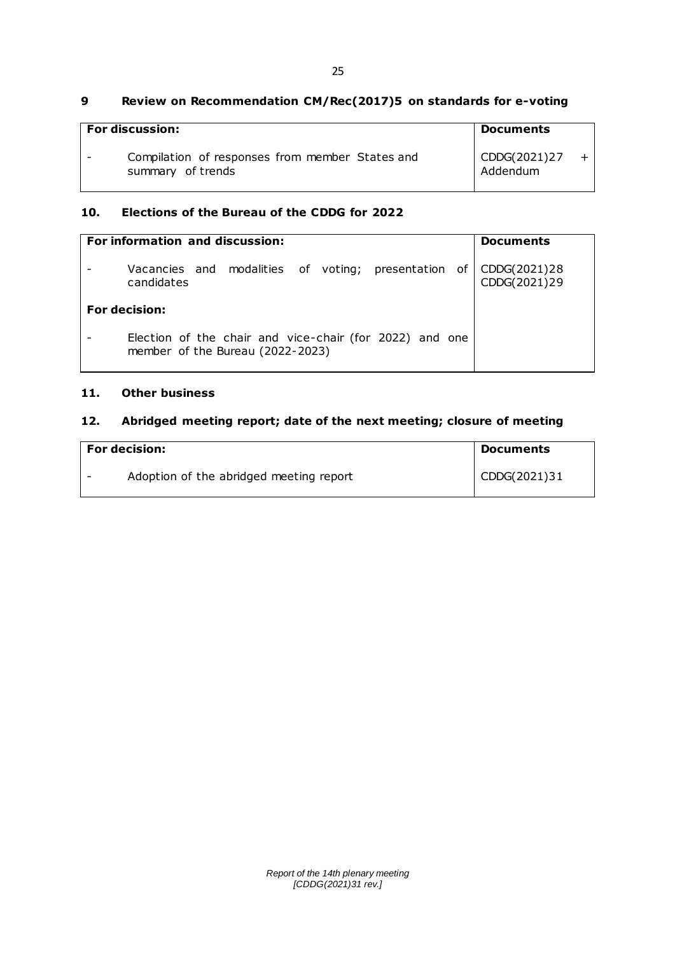### **9 Review on Recommendation CM/Rec(2017)5 on standards for e-voting**

| <b>For discussion:</b>                                               | <b>Documents</b>         |  |
|----------------------------------------------------------------------|--------------------------|--|
| Compilation of responses from member States and<br>summary of trends | CDDG(2021)27<br>Addendum |  |

## **10. Elections of the Bureau of the CDDG for 2022**

| For information and discussion:                                                             | <b>Documents</b>             |
|---------------------------------------------------------------------------------------------|------------------------------|
| Vacancies and modalities of voting; presentation of<br>candidates                           | CDDG(2021)28<br>CDDG(2021)29 |
| For decision:                                                                               |                              |
| Election of the chair and vice-chair (for 2022) and one<br>member of the Bureau (2022-2023) |                              |

# **11. Other business**

# **12. Abridged meeting report; date of the next meeting; closure of meeting**

| <b>For decision:</b> |                                         | Documents    |
|----------------------|-----------------------------------------|--------------|
|                      | Adoption of the abridged meeting report | CDDG(2021)31 |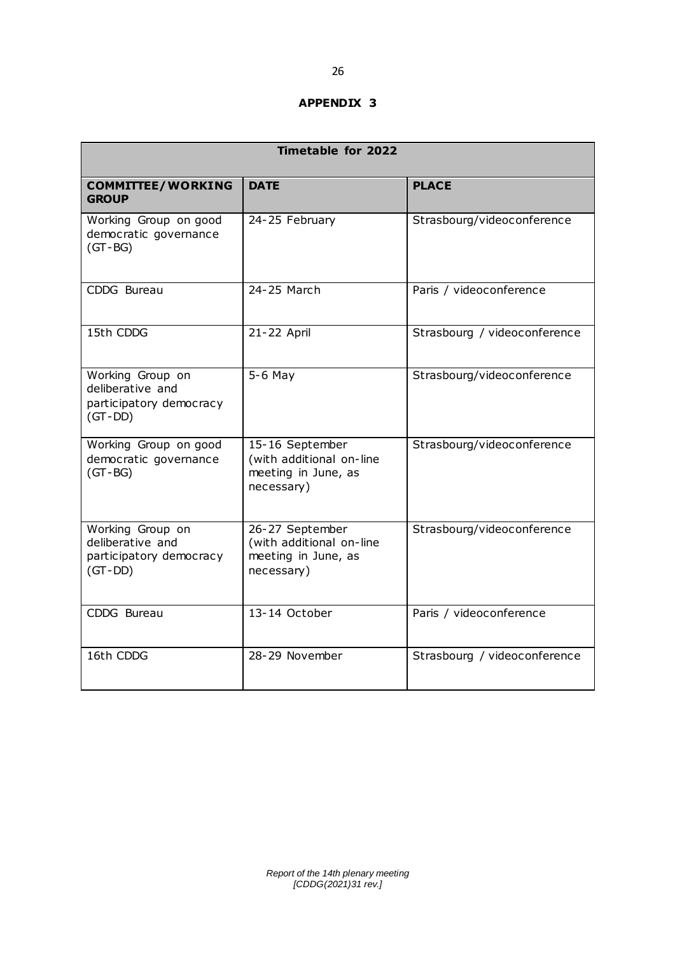### **APPENDIX 3**

| <b>Timetable for 2022</b>                                                    |                                                                                  |                              |  |  |
|------------------------------------------------------------------------------|----------------------------------------------------------------------------------|------------------------------|--|--|
| <b>COMMITTEE/WORKING</b><br><b>GROUP</b>                                     | <b>DATE</b>                                                                      | <b>PLACE</b>                 |  |  |
| Working Group on good<br>democratic governance<br>$(GT - BG)$                | 24-25 February                                                                   | Strasbourg/videoconference   |  |  |
| CDDG Bureau                                                                  | 24-25 March                                                                      | Paris / videoconference      |  |  |
| 15th CDDG                                                                    | 21-22 April                                                                      | Strasbourg / videoconference |  |  |
| Working Group on<br>deliberative and<br>participatory democracy<br>$(GT-DD)$ | $5-6$ May                                                                        | Strasbourg/videoconference   |  |  |
| Working Group on good<br>democratic governance<br>$(GT - BG)$                | 15-16 September<br>(with additional on-line<br>meeting in June, as<br>necessary) | Strasbourg/videoconference   |  |  |
| Working Group on<br>deliberative and<br>participatory democracy<br>$(GT-DD)$ | 26-27 September<br>(with additional on-line<br>meeting in June, as<br>necessary) | Strasbourg/videoconference   |  |  |
| CDDG Bureau                                                                  | 13-14 October                                                                    | Paris / videoconference      |  |  |
| 16th CDDG                                                                    | 28-29 November                                                                   | Strasbourg / videoconference |  |  |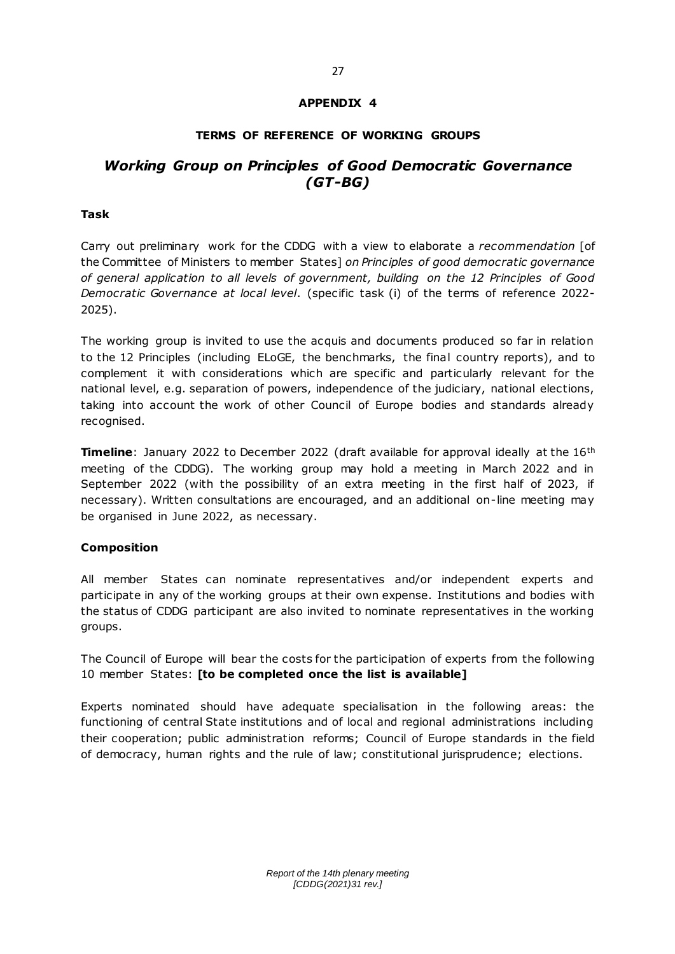## **APPENDIX 4**

### **TERMS OF REFERENCE OF WORKING GROUPS**

# *Working Group on Principles of Good Democratic Governance (GT-BG)*

### **Task**

Carry out preliminary work for the CDDG with a view to elaborate a *recommendation* [of the Committee of Ministers to member States] *on Principles of good democratic governance of general application to all levels of government, building on the 12 Principles of Good Democratic Governance at local level*. (specific task (i) of the terms of reference 2022- 2025).

The working group is invited to use the acquis and documents produced so far in relation to the 12 Principles (including ELoGE, the benchmarks, the final country reports), and to complement it with considerations which are specific and particularly relevant for the national level, e.g. separation of powers, independence of the judiciary, national elections, taking into account the work of other Council of Europe bodies and standards already recognised.

**Timeline**: January 2022 to December 2022 (draft available for approval ideally at the 16<sup>th</sup> meeting of the CDDG). The working group may hold a meeting in March 2022 and in September 2022 (with the possibility of an extra meeting in the first half of 2023, if necessary). Written consultations are encouraged, and an additional on-line meeting may be organised in June 2022, as necessary.

### **Composition**

All member States can nominate representatives and/or independent experts and participate in any of the working groups at their own expense. Institutions and bodies with the status of CDDG participant are also invited to nominate representatives in the working groups.

The Council of Europe will bear the costs for the participation of experts from the following 10 member States: **[to be completed once the list is available]**

Experts nominated should have adequate specialisation in the following areas: the functioning of central State institutions and of local and regional administrations including their cooperation; public administration reforms; Council of Europe standards in the field of democracy, human rights and the rule of law; constitutional jurisprudence; elections.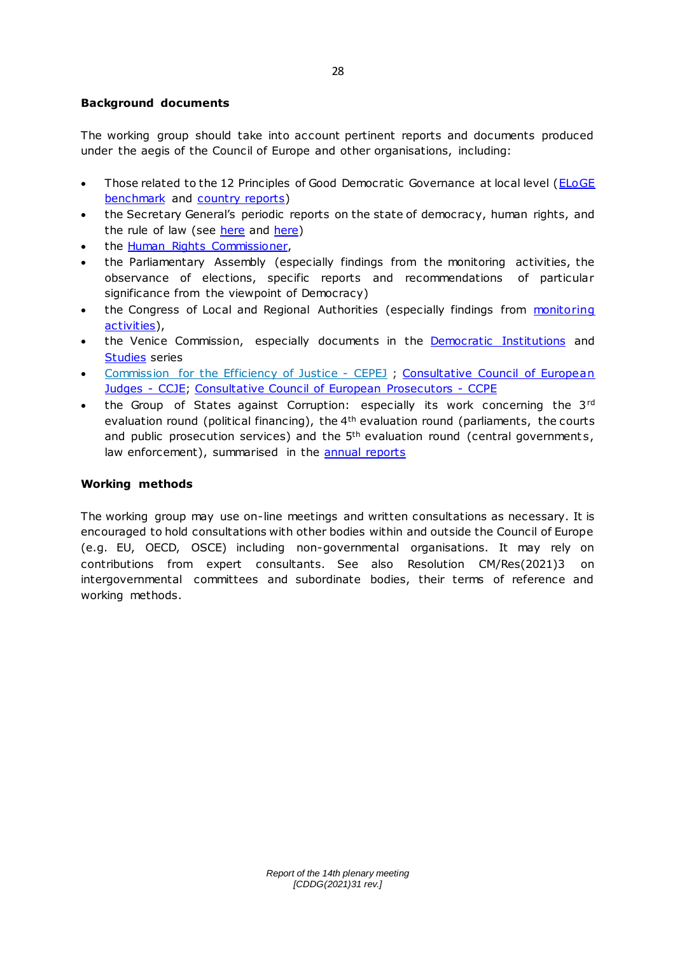## **Background documents**

The working group should take into account pertinent reports and documents produced under the aegis of the Council of Europe and other organisations, including:

- Those related to the 12 Principles of Good Democratic Governance at local level (ELoGE [benchmark](http://rm.coe.int/eloge-benchmark-en-17-09/16808d71d4) and [country reports\)](https://www.coe.int/en/web/good-governance/eloge-europe-accreditations)
- the Secretary General's periodic reports on the state of democracy, human rights, and the rule of law (see [here](https://www.coe.int/en/web/secretary-general/reports-thorbjorn-jagland) and [here\)](https://www.coe.int/en/web/secretary-general/reports-thorbjorn-jagland)
- the [Human Rights Commissioner,](https://www.coe.int/en/web/commissioner/documents)
- the Parliamentary Assembly (especially findings from the monitoring activities, the observance of elections, specific reports and recommendations of particular significance from the viewpoint of Democracy)
- the Congress of Local and Regional Authorities (especially findings from monitoring [activities\)](https://www.coe.int/en/web/congress/work),
- the Venice Commission, especially documents in the **Democratic Institutions** and [Studies](https://www.venice.coe.int/WebForms/documents/by_opinion.aspx?v=studies&lang=EN) series
- [Commission for the Efficiency of Justice -](https://www.coe.int/cepej) CEPEJ ; [Consultative Council of European](https://www.coe.int/ccje)  [Judges -](https://www.coe.int/ccje) CCJE; [Consultative Council of European Prosecutors -](https://www.coe.int/en/web/ccpe/home) CCPE
- the Group of States against Corruption: especially its work concerning the 3rd evaluation round (political financing), the 4<sup>th</sup> evaluation round (parliaments, the courts and public prosecution services) and the  $5<sup>th</sup>$  evaluation round (central governments, law enforcement), summarised in the [annual reports](https://www.coe.int/en/web/greco/publications)

### **Working methods**

The working group may use on-line meetings and written consultations as necessary. It is encouraged to hold consultations with other bodies within and outside the Council of Europe (e.g. EU, OECD, OSCE) including non-governmental organisations. It may rely on contributions from expert consultants. See also Resolution CM/Res(2021)3 on intergovernmental committees and subordinate bodies, their terms of reference and working methods.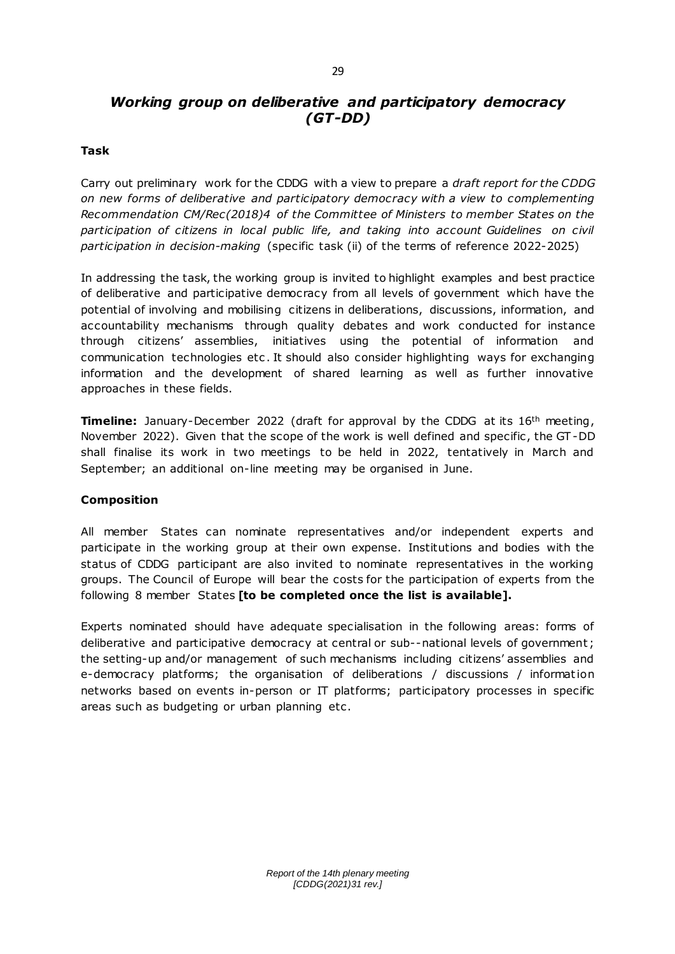# *Working group on deliberative and participatory democracy (GT-DD)*

### **Task**

Carry out preliminary work for the CDDG with a view to prepare a *draft report for the CDDG on new forms of deliberative and participatory democracy with a view to complementing Recommendation CM/Rec(2018)4 of the Committee of Ministers to member States on the*  participation of citizens in local public life, and taking into account Guidelines on civil *participation in decision-making* (specific task (ii) of the terms of reference 2022-2025)

In addressing the task, the working group is invited to highlight examples and best practice of deliberative and participative democracy from all levels of government which have the potential of involving and mobilising citizens in deliberations, discussions, information, and accountability mechanisms through quality debates and work conducted for instance through citizens' assemblies, initiatives using the potential of information and communication technologies etc . It should also consider highlighting ways for exchanging information and the development of shared learning as well as further innovative approaches in these fields.

**Timeline:** January-December 2022 (draft for approval by the CDDG at its 16<sup>th</sup> meeting, November 2022). Given that the scope of the work is well defined and specific , the GT -DD shall finalise its work in two meetings to be held in 2022, tentatively in March and September; an additional on-line meeting may be organised in June.

### **Composition**

All member States can nominate representatives and/or independent experts and participate in the working group at their own expense. Institutions and bodies with the status of CDDG participant are also invited to nominate representatives in the working groups. The Council of Europe will bear the costs for the participation of experts from the following 8 member States **[to be completed once the list is available].**

Experts nominated should have adequate specialisation in the following areas: forms of deliberative and participative democracy at central or sub--national levels of government ; the setting-up and/or management of such mechanisms including citizens' assemblies and e-democracy platforms; the organisation of deliberations / discussions / informat ion networks based on events in-person or IT platforms; participatory processes in specific areas such as budgeting or urban planning etc.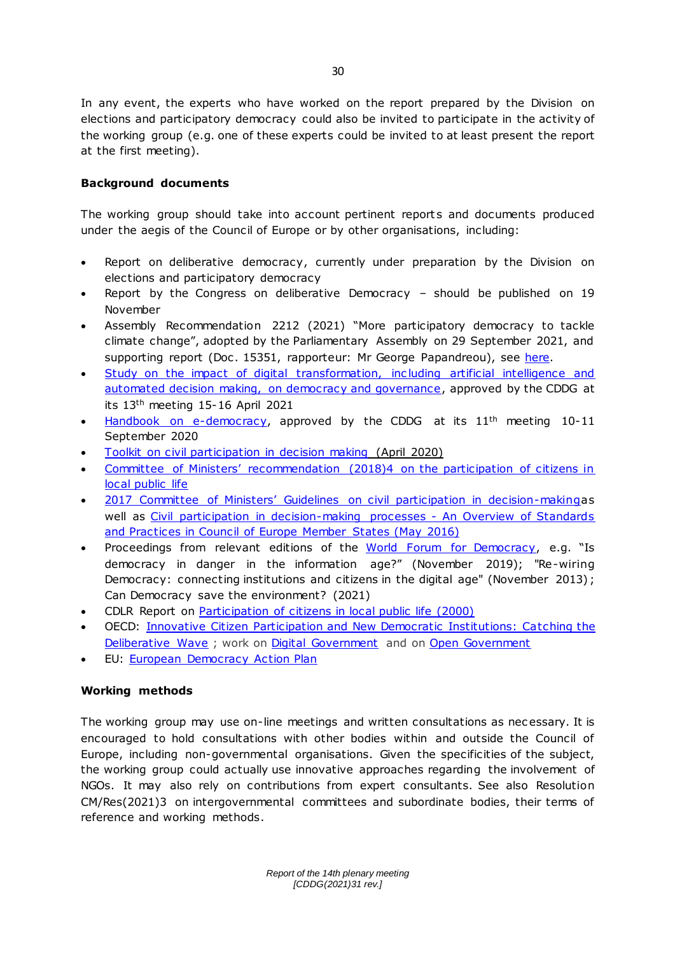In any event, the experts who have worked on the report prepared by the Division on elections and participatory democracy could also be invited to participate in the activity of the working group (e.g. one of these experts could be invited to at least present the report at the first meeting).

# **Background documents**

The working group should take into account pertinent reports and documents produced under the aegis of the Council of Europe or by other organisations, including:

- Report on deliberative democracy, currently under preparation by the Division on elections and participatory democracy
- Report by the Congress on deliberative Democracy should be published on 19 November
- Assembly Recommendation 2212 (2021) "More participatory democracy to tackle climate change", adopted by the Parliamentary Assembly on 29 September 2021, and supporting report (Doc . 15351, rapporteur: Mr George Papandreou), see [here.](https://pace.coe.int/en/files/29516)
- [Study on the impact of digital transformation, inc](https://rm.coe.int/study-on-the-impact-of-digital-transformation-on-democracy-and-good-go/1680a3b9f9) luding artificial intelligence and [automated decision making, on democracy and governance,](https://rm.coe.int/study-on-the-impact-of-digital-transformation-on-democracy-and-good-go/1680a3b9f9) approved by the CDDG at its 13th meeting 15-16 April 2021
- [Handbook on e-democracy,](https://rm.coe.int/handbook-e-democracy/16809fda61) approved by the CDDG at its 11<sup>th</sup> meeting 10-11 September 2020
- [Toolkit on civil participation in decision making](https://rm.coe.int/civil-participation-in-decision-making-toolkit-/168075c1a5) (April 2020)
- [Committee of Ministers' recommendation \(2018\)4 on the participation of citizens in](https://rm.coe.int/16807954c3)  [local public life](https://rm.coe.int/16807954c3)
- [2017 Committee of Ministers' Guidelines on civil participation in decision](https://www.coe.int/en/web/civil-society/guidelines)-makingas well as [Civil participation in decision-making processes -](http://rm.coe.int/civil-participation-in-decision-making-processes-an-overview-of-standa/1680701801) An Overview of Standards [and Practices in Council of Europe Member States \(May 2016\)](http://rm.coe.int/civil-participation-in-decision-making-processes-an-overview-of-standa/1680701801)
- Proceedings from relevant editions of the [World Forum for Democracy](https://www.coe.int/en/web/world-forum-democracy/previous-forums), e.g. "Is democracy in danger in the information age?" (November 2019); "Re-wiring Democracy: connecting institutions and citizens in the digital age" (November 2013) ; Can Democracy save the environment? (2021)
- CDLR Report on [Participation of citizens in local public life \(2000\)](http://wcd.coe.int/ViewDoc.jsp?id=1388041&Site=&BackColorInternet=B9BDEE&BackColorIntranet=FFCD4F&BackColorLogged=FFC679)
- OECD: [Innovative Citizen Participation and New Democratic Institutions: Catching the](https://www.oecd.org/gov/innovative-citizen-participation-and-new-democratic-institutions-339306da-en.htm)  [Deliberative Wave](https://www.oecd.org/gov/innovative-citizen-participation-and-new-democratic-institutions-339306da-en.htm) ; work on [Digital Government](https://www.oecd.org/gov/digital-government/) and on [Open Government](https://www.oecd.org/gov/open-government/)
- EU: [European Democracy Action Plan](https://ec.europa.eu/info/strategy/priorities-2019-2024/new-push-european-democracy/european-democracy-action-plan_en)

## **Working methods**

The working group may use on-line meetings and written consultations as nec essary. It is encouraged to hold consultations with other bodies within and outside the Council of Europe, including non-governmental organisations. Given the specificities of the subject, the working group could actually use innovative approaches regarding the involvement of NGOs. It may also rely on contributions from expert consultants. See also Resolution CM/Res(2021)3 on intergovernmental committees and subordinate bodies, their terms of reference and working methods.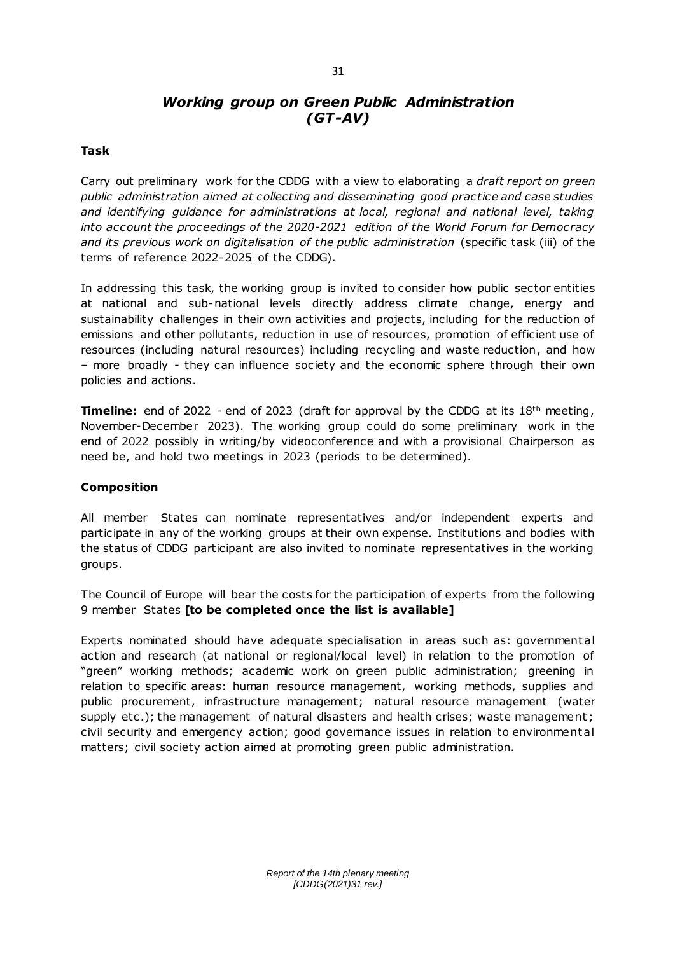### 31

# *Working group on Green Public Administration (GT-AV)*

### **Task**

Carry out preliminary work for the CDDG with a view to elaborating a *draft report on green public administration aimed at collecting and disseminating good practice and case studies and identifying guidance for administrations at local, regional and national level, taking into account the proceedings of the 2020-2021 edition of the World Forum for Democracy and its previous work on digitalisation of the public administration* (specific task (iii) of the terms of reference 2022-2025 of the CDDG).

In addressing this task, the working group is invited to consider how public sector entities at national and sub-national levels directly address climate change, energy and sustainability challenges in their own activities and projects, including for the reduction of emissions and other pollutants, reduction in use of resources, promotion of efficient use of resources (including natural resources) including recycling and waste reduction, and how – more broadly - they can influence society and the economic sphere through their own policies and actions.

**Timeline:** end of 2022 - end of 2023 (draft for approval by the CDDG at its 18<sup>th</sup> meeting, November-December 2023). The working group could do some preliminary work in the end of 2022 possibly in writing/by videoconference and with a provisional Chairperson as need be, and hold two meetings in 2023 (periods to be determined).

### **Composition**

All member States can nominate representatives and/or independent experts and participate in any of the working groups at their own expense. Institutions and bodies with the status of CDDG participant are also invited to nominate representatives in the working groups.

The Council of Europe will bear the costs for the participation of experts from the following 9 member States **[to be completed once the list is available]**

Experts nominated should have adequate specialisation in areas such as: government al action and research (at national or regional/local level) in relation to the promotion of "green" working methods; academic work on green public administration; greening in relation to specific areas: human resource management, working methods, supplies and public procurement, infrastructure management; natural resource management (water supply etc.); the management of natural disasters and health crises; waste management; civil security and emergency action; good governance issues in relation to environment al matters; civil society action aimed at promoting green public administration.